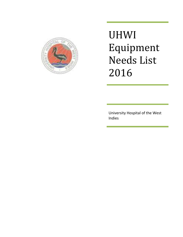

UHWI Equipment Needs List 2016

University Hospital of the West Indies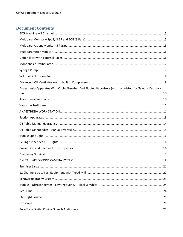## **Document Contents**

| Anaesthesia Apparatus With Circle Absorber And Fluotec Vaporizers (with provision for Selecta Tec Back |  |
|--------------------------------------------------------------------------------------------------------|--|
|                                                                                                        |  |
|                                                                                                        |  |
|                                                                                                        |  |
|                                                                                                        |  |
|                                                                                                        |  |
|                                                                                                        |  |
|                                                                                                        |  |
|                                                                                                        |  |
|                                                                                                        |  |
|                                                                                                        |  |
|                                                                                                        |  |
|                                                                                                        |  |
|                                                                                                        |  |
|                                                                                                        |  |
|                                                                                                        |  |
|                                                                                                        |  |
|                                                                                                        |  |
|                                                                                                        |  |
|                                                                                                        |  |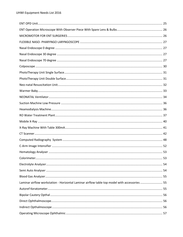| Laminar airflow workstation - Horizontal Laminar airflow table top model with accessories  55 |  |
|-----------------------------------------------------------------------------------------------|--|
|                                                                                               |  |
|                                                                                               |  |
|                                                                                               |  |
|                                                                                               |  |
|                                                                                               |  |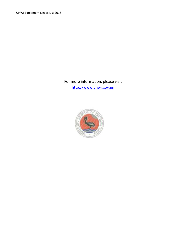UHWI Equipment Needs List 2016

For more information, please visit [http://www.uhwi.gov.jm](http://www.uhwi.gov.jm/)

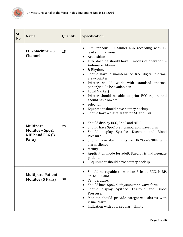

<span id="page-5-2"></span><span id="page-5-1"></span><span id="page-5-0"></span>

| SI.<br>No. | <b>Name</b>                                                     | Quantity | <b>Specification</b>                                                                                                                                                                                                                                                                                                                                                                                                                                                                                                                                                                                                                                  |
|------------|-----------------------------------------------------------------|----------|-------------------------------------------------------------------------------------------------------------------------------------------------------------------------------------------------------------------------------------------------------------------------------------------------------------------------------------------------------------------------------------------------------------------------------------------------------------------------------------------------------------------------------------------------------------------------------------------------------------------------------------------------------|
|            | <b>ECG Machine - 3</b><br><b>Channel</b>                        | 15       | Simultaneous 3 Channel ECG recording with 12<br>$\bullet$<br>lead simultaneous<br>Acquisition<br>$\bullet$<br>ECG Machine should have 3 modes of operation -<br>$\bullet$<br>Automatic, Manual<br>& Rhythm.<br>$\bullet$<br>Should have a maintenance free digital thermal<br>array printer<br>Printer should work with standard thermal<br>$\bullet$<br>paper(should be available in<br>Local Market)<br>$\bullet$<br>Printer should be able to print ECG report and<br>$\bullet$<br>should have on/off<br>selection<br>$\bullet$<br>Equipment should have battery backup.<br>$\bullet$<br>Should have a digital filter for AC and EMG.<br>$\bullet$ |
|            | <b>Multipara</b><br>Monitor - Spo2,<br>NIBP and ECG (3<br>Para) | 25       | Should display ECG, Spo2 and NIBP.<br>$\bullet$<br>Should have Spo2 plethysmograph wave form.<br>$\bullet$<br>Should display Systolic, Diastolic and Blood<br>$\bullet$<br>Pressure.<br>Should have alarm limits for HR/Spo2/NIBP with<br>$\bullet$<br>alarm silence<br>facility<br>$\bullet$<br>Application mode for adult, Paediatric and neonate<br>patients<br>- Equipment should have battery backup.                                                                                                                                                                                                                                            |
|            | <b>Multipara Patient</b><br><b>Monitor (5 Para)</b>             | 30       | Should be capable to monitor 3 leads ECG, NIBP,<br>$\bullet$<br>SpO2, RR, and<br>Temperature.<br>$\bullet$<br>Should have Spo2 plethysmograph wave form.<br>٠<br>Should display Systolic, Diastolic and Blood<br>$\bullet$<br>Pressure.<br>Monitor should provide categorized alarms with<br>$\bullet$<br>visual alarm<br>indication with auto set alarm limits                                                                                                                                                                                                                                                                                       |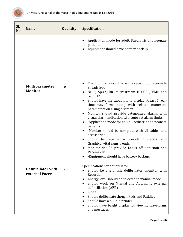

<span id="page-6-1"></span><span id="page-6-0"></span>

| SI.<br>No. | <b>Name</b>                             | Quantity | <b>Specification</b>                                                                                                                                                                                                                                                                                                                                                                                                                                                                                                                                                                                                                                                                                                                                                         |
|------------|-----------------------------------------|----------|------------------------------------------------------------------------------------------------------------------------------------------------------------------------------------------------------------------------------------------------------------------------------------------------------------------------------------------------------------------------------------------------------------------------------------------------------------------------------------------------------------------------------------------------------------------------------------------------------------------------------------------------------------------------------------------------------------------------------------------------------------------------------|
|            |                                         |          | Application mode for adult, Paediatric and neonate<br>$\bullet$<br>patients<br>Equipment should have battery backup.                                                                                                                                                                                                                                                                                                                                                                                                                                                                                                                                                                                                                                                         |
|            | <b>Multiparameter</b><br><b>Monitor</b> | 10       | The monitor should have the capability to provide<br>٠<br>3 leads ECG,<br>NIBP, SpO2, RR, microstream ETCO2 ,TEMP and<br>$\bullet$<br>two IBP<br>Should have the capability to display atleast 5 real-<br>$\bullet$<br>time waveforms along with related numerical<br>parameters on a single screen<br>Monitor should provide categorized alarms with<br>٠<br>visual alarm indication with auto set alarm limits<br>-Application mode for adult, Paediatric and neonate<br>patients<br>-Monitor should be complete with all cables and<br>$\bullet$<br>accessories<br>Should be capable to provide Numerical and<br>٠<br>Graphical vital signs trends.<br>Monitor should provide Leads off detection and<br>$\bullet$<br>Pacemaker<br>-Equipment should have battery backup. |
|            | Defibrillator with<br>external Pacer    | 14       | Specifications for defibrillator:<br>Should be a Biphasic defibrillator, monitor with<br>Recorder<br>Energy level should be selected in manual mode.<br>$\bullet$<br>Should work on Manual and Automatic external<br>$\bullet$<br>defibrillation (AED)<br>mode<br>٠<br>Should defibrillate though Pads and Paddles<br>$\bullet$<br>Should have a built in printer<br>$\bullet$<br>Should have bright display for viewing waveforms<br>$\bullet$<br>and messages                                                                                                                                                                                                                                                                                                              |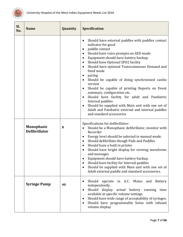

<span id="page-7-1"></span><span id="page-7-0"></span>

| Sl.<br>No. | <b>Name</b>                               | Quantity | <b>Specification</b>                                                                                                                                                                                                                                                                                                                                                                                                                                                                                                                                                                                                                                                                                                                                                                                 |
|------------|-------------------------------------------|----------|------------------------------------------------------------------------------------------------------------------------------------------------------------------------------------------------------------------------------------------------------------------------------------------------------------------------------------------------------------------------------------------------------------------------------------------------------------------------------------------------------------------------------------------------------------------------------------------------------------------------------------------------------------------------------------------------------------------------------------------------------------------------------------------------------|
|            |                                           |          | Should have external paddles with paddles contact<br>$\bullet$<br>indicator for good<br>paddle contact<br>$\bullet$<br>Should have voice prompts on AED mode<br>$\bullet$<br>Equipment should have battery backup.<br>$\bullet$<br>Should have Optional SPO2 facility<br>$\bullet$<br>Should have optional Transcutaneous Demand and<br>$\bullet$<br>fixed mode<br>pacing<br>$\bullet$<br>Should be capable of doing synchronized cardio<br>$\bullet$<br>version<br>Should be capable of printing Reports on Event<br>$\bullet$<br>summary, configuration etc.<br>Should have facility for adult and Paediatric<br>$\bullet$<br>Internal paddles<br>Should be supplied with Main unit with one set of<br>$\bullet$<br>Adult and Paediatric external and internal paddles<br>and standard accessories |
|            | <b>Monophasic</b><br><b>Defibrillator</b> | 8        | Specifications for defibrillator:<br>Should be a Monophasic defibrillator, monitor with<br>Recorder<br>Energy level should be selected in manual mode.<br>$\bullet$<br>Should defibrillate though Pads and Paddles<br>$\bullet$<br>Should have a built in printer<br>$\bullet$<br>Should have bright display for viewing waveforms<br>and messages<br>Equipment should have battery backup.<br>$\bullet$<br>Should have facility for Internal paddles<br>$\bullet$<br>Should be supplied with Main unit with one set of<br>Adult external paddle and standard accessories.                                                                                                                                                                                                                           |
|            | <b>Syringe Pump</b>                       | 40       | Should<br>operate in A.C. Mains<br>and<br><b>Battery</b><br>٠<br>independently.<br>Should<br>display actual battery running<br>time<br>$\bullet$<br>available at specific volume settings<br>Should have wide range of acceptability of syringes.<br>٠<br>Should have programmable bolus with infused<br>$\bullet$<br>volume display                                                                                                                                                                                                                                                                                                                                                                                                                                                                 |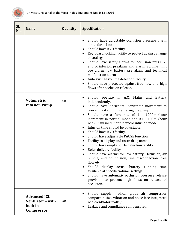

<span id="page-8-1"></span><span id="page-8-0"></span>

| SI.<br>No. | <b>Name</b>                                                        | Quantity | <b>Specification</b>                                                                                                                                                                                                                                                                                                                                                                                                                                                                                                                                                                                                                                                                                                                                                                                                                                                                                                                                              |
|------------|--------------------------------------------------------------------|----------|-------------------------------------------------------------------------------------------------------------------------------------------------------------------------------------------------------------------------------------------------------------------------------------------------------------------------------------------------------------------------------------------------------------------------------------------------------------------------------------------------------------------------------------------------------------------------------------------------------------------------------------------------------------------------------------------------------------------------------------------------------------------------------------------------------------------------------------------------------------------------------------------------------------------------------------------------------------------|
|            |                                                                    |          | Should have adjustable occlusion pressure alarm<br>$\bullet$<br>limits for in line<br>Should have KVO facility<br>$\bullet$<br>Key board locking facility to protect against change<br>$\bullet$<br>of settings<br>Should have safety alarms for occlusion pressure,<br>$\bullet$<br>end of infusion prealarm and alarm, volume limit<br>pre alarm, low battery pre alarm and technical<br>malfunction alarm<br>Auto syringe volume detection facility<br>٠<br>Should have protected against free flow and high<br>$\bullet$<br>flows after occlusion release.                                                                                                                                                                                                                                                                                                                                                                                                    |
|            | <b>Volumetric</b><br><b>Infusion Pump</b>                          | 40       | Should operate in A.C. Mains<br>Battery<br>and<br>٠<br>independently.<br>Should have horizontal peristaltic movement to<br>$\bullet$<br>prevent leaked fluids entering the pump<br>Should have a flow rate of 1 - 1000ml/hour<br>$\bullet$<br>increment in normal mode and 0.1 - 100ml/hour<br>with 0.1ml increment in micro infusion mode<br>Infusion time should be adjustable.<br>٠<br>Should have KVO facility.<br>٠<br>Should have adjustable PAUSE function<br>٠<br>Facility to display and enter drug name<br>٠<br>Should have empty bottle detection facility<br>$\bullet$<br>Bolus delivery facility<br>Should have alarms for low battery, Occlusion, air<br>bubble, end of infusion, line disconnection, free<br>flow etc.<br>Should display actual battery running time<br>٠<br>available at specific volume settings<br>Should have automatic occlusion pressure release<br>$\bullet$<br>provision to prevent high flows on release of<br>occlusion. |
|            | <b>Advanced ICU</b><br>Ventilator - with<br>built in<br>Compressor | 30       | Should supply medical grade air compressor<br>٠<br>compact in size, vibration and noise free integrated<br>with ventilator trolley.<br>Leakage and compliance compensated.<br>٠                                                                                                                                                                                                                                                                                                                                                                                                                                                                                                                                                                                                                                                                                                                                                                                   |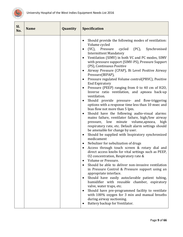

| Sl.<br>No. | <b>Name</b> | Quantity | <b>Specification</b>                                                                                                                                                                                                                                                                                                                                                                                                                                                                                                                                                                                                                                                                                                                                                                                                                                                                                                                                                                                                                                                                                                                                                                                                                                                                                                                                                                                                                                                                                                                                                                                                                                                                                                                                                                                                 |
|------------|-------------|----------|----------------------------------------------------------------------------------------------------------------------------------------------------------------------------------------------------------------------------------------------------------------------------------------------------------------------------------------------------------------------------------------------------------------------------------------------------------------------------------------------------------------------------------------------------------------------------------------------------------------------------------------------------------------------------------------------------------------------------------------------------------------------------------------------------------------------------------------------------------------------------------------------------------------------------------------------------------------------------------------------------------------------------------------------------------------------------------------------------------------------------------------------------------------------------------------------------------------------------------------------------------------------------------------------------------------------------------------------------------------------------------------------------------------------------------------------------------------------------------------------------------------------------------------------------------------------------------------------------------------------------------------------------------------------------------------------------------------------------------------------------------------------------------------------------------------------|
|            |             |          | Should provide the following modes of ventilation:<br>$\bullet$<br>Volume cycled<br>(VC), Pressure<br>cycled (PC),<br>Synchronised<br>٠<br><b>Intermittent Mandatory</b><br>Ventilation (SIMV) in both VC and PC modes, SIMV<br>with pressure support (SIMV-PS), Pressure Support<br>(PS), Continuous Positive<br>Airway Pressure (CPAP), Bi Level Positive Airway<br>٠<br>Pressure(BIPAP),<br>Pressure regulated Volume control(PRVC), Positive<br>٠<br><b>End Expiratory</b><br>Pressure (PEEP) ranging from 0 to 40 cm of H2O,<br>$\bullet$<br>Inverse ratio ventilation, and apnoea back-up<br>ventilation.<br>Should provide pressure- and flow-triggering<br>$\bullet$<br>options with a response time less than 10 msec and<br>bias flow not more than 5 lpm.<br>Should have the following audio-visual alarms:<br>$\bullet$<br>mains failure, ventilator failure, high/low airway<br>pressure, low minute volume, apnoea,<br>high<br>respiratory rate, etc. Default alarm settings should<br>be amenable for change by user.<br>Should be supplied with Inspiratory synchronized<br>$\bullet$<br>medicament<br>Nebulizer for nebulization of drugs<br>$\bullet$<br>Access through touch screen & rotary dial and<br>$\bullet$<br>direct access knobs for vital settings such as PEEP,<br>02 concentration, Respiratory rate &<br>Volume or Pressure.<br>Should be able to deliver non-invasive ventilation<br>in Pressure Control & Pressure support using an<br>appropriate interface.<br>Should have easily autoclavable patient tubing,<br>$\bullet$<br>humidifier with reusable chamber, expiratory<br>valve, water traps, etc.<br>Should have pre-programmed facility to ventilate<br>with 100% oxygen for 3 min and manual breaths<br>during airway suctioning.<br>Battery backup for Ventilator.<br>٠ |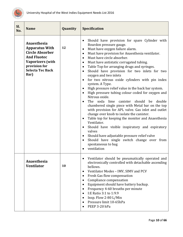

<span id="page-10-1"></span><span id="page-10-0"></span>

| Sl.<br>No. | <b>Name</b>                                                                                                                                                         | Quantity | Specification                                                                                                                                                                                                                                                                                                                                                                                                                                                                                                                                                                                                                                                                                                                                                                                                                                                                                                                                                                                                                                                                                                                                                                                                             |
|------------|---------------------------------------------------------------------------------------------------------------------------------------------------------------------|----------|---------------------------------------------------------------------------------------------------------------------------------------------------------------------------------------------------------------------------------------------------------------------------------------------------------------------------------------------------------------------------------------------------------------------------------------------------------------------------------------------------------------------------------------------------------------------------------------------------------------------------------------------------------------------------------------------------------------------------------------------------------------------------------------------------------------------------------------------------------------------------------------------------------------------------------------------------------------------------------------------------------------------------------------------------------------------------------------------------------------------------------------------------------------------------------------------------------------------------|
|            | Anaesthesia<br><b>Apparatus With</b><br><b>Circle Absorber</b><br><b>And Fluotec</b><br><b>Vaporizers</b> (with<br>provision for<br><b>Selecta Tec Back</b><br>Bar) | 12       | Should have provision for spare Cylinder with<br>$\bullet$<br>Bourdon pressure gauge.<br>Must have oxygen failure alarm.<br>٠<br>Must have provision for Anaesthesia ventilator.<br>$\bullet$<br>Must have circle absorber.<br>$\bullet$<br>Must have antistatic corrugated tubing.<br>$\bullet$<br>Table Top for arranging drugs and syringes.<br>$\bullet$<br>Should have provision for two inlets for two<br>$\bullet$<br>oxygen and two inlets<br>for two nitrous oxide cylinders with pin index<br>$\bullet$<br>system. A Type.<br>High pressure relief value in the back bar system.<br>$\bullet$<br>High pressure tubing colour coded for oxygen and<br>$\bullet$<br>Nitrous oxide.<br>The soda lime canister<br>should be<br>double<br>$\bullet$<br>chambered single piece with Metal bar on the top<br>with provision for APL valve. Gas inlet and outlet<br>change over knob to isolate the canister.<br>Table top for keeping the monitor and Anaesthesia<br>$\bullet$<br>Ventilator.<br>Should have visible inspiratory and expiratory<br>$\bullet$<br>valves<br>Should have adjustable pressure relief valve<br>$\bullet$<br>Should have single switch change over from<br>spontaneous to bag<br>ventilation |
|            | Anaesthesia<br><b>Ventilator</b>                                                                                                                                    | 10       | Ventilator should be pneumatically operated and<br>electronically controlled with detachable ascending<br>bellows.<br>Ventilator Modes - IMV, SIMV and PCV<br>٠<br>Fresh Gas flow compensation<br>$\bullet$<br>Compliance compensation<br>$\bullet$<br>Equipment should have battery backup.<br>$\bullet$<br>Frequency 4-60 breaths per minute<br>$\bullet$<br>I:E Ratio 3:1 to 1:9.9<br>$\bullet$<br>Insp. Flow 2-80 L/Min<br>Pressure limit 10-65hPa<br>$\bullet$<br>PEEP 3-20 hPa                                                                                                                                                                                                                                                                                                                                                                                                                                                                                                                                                                                                                                                                                                                                      |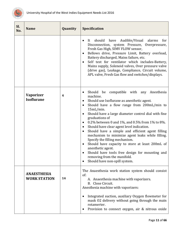

<span id="page-11-1"></span><span id="page-11-0"></span>

| Sl.<br>No. | <b>Name</b>                               | Quantity | <b>Specification</b>                                                                                                                                                                                                                                                                                                                                                                                                                                                                                                                                                                                                                                                                                                                                                              |
|------------|-------------------------------------------|----------|-----------------------------------------------------------------------------------------------------------------------------------------------------------------------------------------------------------------------------------------------------------------------------------------------------------------------------------------------------------------------------------------------------------------------------------------------------------------------------------------------------------------------------------------------------------------------------------------------------------------------------------------------------------------------------------------------------------------------------------------------------------------------------------|
|            |                                           |          | Audible/Visual<br>should<br>have<br>alarms<br>for<br>It<br>$\bullet$<br>Disconnection, system Pressure, Overpressure,<br>Fresh Gas High, SIMV FLOW sensor,<br>Bellows drive, Pressure Limit, Battery overload,<br>$\bullet$<br>Battery discharged, Mains failure, etc.<br>Self test for ventilator which includes-Battery,<br>$\bullet$<br>Mains supply, Solenoid valves, Over pressure valve<br>(drive gas), Leakage, Compliance, Circuit volume,<br>APL valve, Fresh Gas flow and switches/displays.                                                                                                                                                                                                                                                                            |
|            | <b>Vaporizer</b><br><b>Isoflurane</b>     | 4        | Should be compatible with any Anesthesia<br>$\bullet$<br>machine.<br>Should use Isoflurane as anesthetic agent.<br>$\bullet$<br>Should have a flow range from 200mL/min to<br>$\bullet$<br>$15mL/min$ .<br>Should have a large diameter control dial with fine<br>$\bullet$<br>graduations of<br>0.2% between 0 and 1%, and 0.5% from 1% to 8%.<br>$\bullet$<br>Should have clear agent level indication.<br>٠<br>Should have a simple and efficient agent filling<br>$\bullet$<br>mechanism to minimize agent leaks while filling.<br>Specify the filling mechanism.<br>Should have capacity to store at least 200mL of<br>$\bullet$<br>anesthetic agent.<br>Should have tools free design for mounting and<br>removing from the manifold.<br>Should have non-spill system.<br>٠ |
|            | <b>ANAESTHESIA</b><br><b>WORK STATION</b> | 14       | The Anaesthesia work station system should consist<br>of:<br>A. Anaesthesia machine with vaporizers.<br>B. Close Circuit.<br>Anesthesia machine with vaporizers:<br>Integrated suction, auxiliary Oxygen flowmeter for<br>٠<br>mask 02 delivery without going through the main<br>rotamerter.<br>Provision to connect oxygen, air & nitrous oxide<br>٠                                                                                                                                                                                                                                                                                                                                                                                                                            |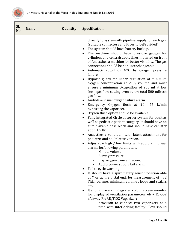

| Sl.<br>No. | <b>Name</b> | Quantity | Specification                                                                                                                                                                                                                                                                                                                                                                                                                                                                                                                                                                                                                                                                                                                                                                                                                                                                                                                                                                                                                                                                                                                                                                                                                                                                                                                                                                                                                                                                                                                                                                                                                                                                                                                                                      |
|------------|-------------|----------|--------------------------------------------------------------------------------------------------------------------------------------------------------------------------------------------------------------------------------------------------------------------------------------------------------------------------------------------------------------------------------------------------------------------------------------------------------------------------------------------------------------------------------------------------------------------------------------------------------------------------------------------------------------------------------------------------------------------------------------------------------------------------------------------------------------------------------------------------------------------------------------------------------------------------------------------------------------------------------------------------------------------------------------------------------------------------------------------------------------------------------------------------------------------------------------------------------------------------------------------------------------------------------------------------------------------------------------------------------------------------------------------------------------------------------------------------------------------------------------------------------------------------------------------------------------------------------------------------------------------------------------------------------------------------------------------------------------------------------------------------------------------|
|            |             |          | directly to systemwith pipeline supply for each gas.<br>(suitable connectors and Pipes to beProvided)<br>The system should have battery backup.<br>The machine should have pressure gauges for<br>cylinders and centralsupply lines mounted on front<br>of Anaesthesia machine for better visibility. The gas<br>connections should be non-interchangeable.<br>Automatic cutoff on N2O by Oxygen pressure<br>٠<br>failure.<br>Hypoxic guard for linear regulation of minimum<br>oxygen concentration at 21% volume and must<br>ensure a minimum Oxygenflow of 200 ml at low<br>fresh gas flow setting even below total 500 mlfresh<br>gas flow.<br>Audible & visual oxygen failure alarm.<br>$\bullet$<br>Emergency Oxygen flush at $20 -75$ L/min<br>$\bullet$<br>bypassing the vaporizer.<br>Oxygen flush option should be available.<br>Fully integrated Circle absorber system for adult as<br>well as pediatric patient category. It should have an<br>auto clavable base block and should have canister<br>appr. 1.5 ltr.<br>Anaesthesia ventilator with latest attachment for<br>pediatric and adult latest version.<br>Adjustable high / low limits with audio and visual<br>alarms forfollowing parameters.<br>Minute volume<br>Airway pressure<br>Insp oxygen c oncentration,<br>Audio power supply fail alarm<br>Fail to cycle warning<br>It should have a spirometery sensor position able<br>at Y or at the distal end, for measurement of $I/E$<br>Tidal volume, minimum volume, loops and scalars<br>etc.<br>It should have an integrated colour screen monitor<br>for display of ventilation parameters etc.+ Et CO2<br>/Airway Pr/RR/FiO2 Vaporizer:-<br>provision to connect two vaporizers at a<br>time with interlocking facility. Flow should |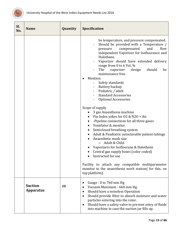

<span id="page-13-0"></span>

| Sl.<br>No. | <b>Name</b>                        | Quantity | <b>Specification</b>                                                                                                                                                                                                                                                                                                                                                                                                                                                                                                                                                                                                                                                                                                                                                                                                                                                                                                                                                                                                                                         |
|------------|------------------------------------|----------|--------------------------------------------------------------------------------------------------------------------------------------------------------------------------------------------------------------------------------------------------------------------------------------------------------------------------------------------------------------------------------------------------------------------------------------------------------------------------------------------------------------------------------------------------------------------------------------------------------------------------------------------------------------------------------------------------------------------------------------------------------------------------------------------------------------------------------------------------------------------------------------------------------------------------------------------------------------------------------------------------------------------------------------------------------------|
|            |                                    |          | be temperature, and pressure compensated.<br>Should be provided with a Temperature /<br>and<br>flow<br>pressure<br>compensated<br>independent Vaporizer for Isoflourance and<br>Halothane.<br>Vaporizer should have extended delivery<br>range from 0 to 6 Vol. %<br>The<br>should<br>vaporizer<br>design<br>be<br>maintenance free.<br>Mention<br>$\bullet$<br>Safety standards<br>$\overline{\phantom{a}}$<br>Battery backup<br>Pediatric / adult<br><b>Standard Accessories</b><br><b>Optional Accessories</b><br>Scope of supply<br>3 gas Anaesthesia machine<br>Pin Index yokes for O2 & N2O + Air<br>-Pipeline connections for all three gases<br>Ventilator & monitor<br>Semiclosed breathing system<br>Adult & Peadiatric autoclavable patient tubings<br>Anaesthetic mask size<br>Adult & Child<br>$\circ$<br>Vaporizers for Isoflourane & Halothene<br>Central gas supply hoses (color coded)<br>Instructed for use<br>Facility to attach any compatible multiparameter<br>monitor to the anaesthesia work station( for this, on<br>top platform). |
|            | <b>Suction</b><br><b>Apparatus</b> | 20       | Guage - 0 to 760 mm Hg<br>Vacuum Maximum - 660 mm Hg.<br>Should have a noiseless Operation<br>٠<br>Should provide filter to absorb moisture and water<br>$\bullet$<br>particles entering into the rotor.<br>Should have a safety valve to prevent entry of fluids<br>٠<br>into machine in case the suction jar fills up.                                                                                                                                                                                                                                                                                                                                                                                                                                                                                                                                                                                                                                                                                                                                     |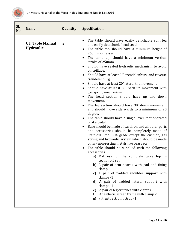

<span id="page-14-0"></span>

| Sl.<br>No. | <b>Name</b>                         | Quantity | <b>Specification</b>                                                                                                                                                                                                                                                                                                                                                                                                                                                                                                                                                                                                                                                                                                                                                                                                                                                                                                                                                                                                                                                                                                                                                                                                                                                                                                                                                                                                                                                                                                                                                                       |
|------------|-------------------------------------|----------|--------------------------------------------------------------------------------------------------------------------------------------------------------------------------------------------------------------------------------------------------------------------------------------------------------------------------------------------------------------------------------------------------------------------------------------------------------------------------------------------------------------------------------------------------------------------------------------------------------------------------------------------------------------------------------------------------------------------------------------------------------------------------------------------------------------------------------------------------------------------------------------------------------------------------------------------------------------------------------------------------------------------------------------------------------------------------------------------------------------------------------------------------------------------------------------------------------------------------------------------------------------------------------------------------------------------------------------------------------------------------------------------------------------------------------------------------------------------------------------------------------------------------------------------------------------------------------------------|
|            | <b>OT Table Manual</b><br>Hydraulic | 3        | The table should have easily detachable split leg<br>٠<br>and easily detachable head section<br>The table top should have a minimum height of<br>٠<br>765mm or lesser.<br>The table top should have a minimum vertical<br>$\bullet$<br>stroke of 250mm<br>Should have sealed hydraulic mechanism to avoid<br>oil spillage.<br>Should have at least 25° trendelenburg and reverse<br>$\bullet$<br>trendelenburg<br>Should have at least 20° lateral tilt movement<br>٠<br>Should have at least 80° back up movement with<br>$\bullet$<br>gas spring mechanism.<br>The head section should have up and down<br>$\bullet$<br>movement.<br>The leg section should have 90° down movement<br>$\bullet$<br>and should move side wards to a minimum of 90<br>degree.<br>The table should have a single lever foot operated<br>$\bullet$<br>brake pedal<br>Base should be made of cast iron and all other parts<br>$\bullet$<br>and accessories should be completely made of<br>Stainless Steel 304 grade except the cushion, gas<br>spring and hydraulic system which should be made<br>of any non-resting metals like brass etc.<br>The table should be supplied with the following<br>$\bullet$<br>accessories.<br>a) Mattress for the complete table top in<br>sections-1 set<br>b) A pair of arm boards with pad and fixing<br>$clamp-1$<br>A pair of padded shoulder support with<br>C)<br>clamps -1<br>d) A pair of padded lateral support with<br>clamps -1<br>e) A pair of leg crutches with clamps -1<br>Anesthetic screen frame with clamp -1<br>f)<br>Patient restraint strap -1<br>g) |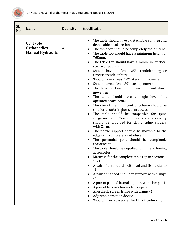

<span id="page-15-0"></span>

| Sl.<br>No. | <b>Name</b>                                                 | Quantity     | <b>Specification</b>                                                                                                                                                                                                                                                                                                                                                                                                                                                                                                                                                                                                                                                                                                                                                                                                                                                                                                                                                                                                                                                                                                                                                                                                                                                                                                                                                                                                                                                              |
|------------|-------------------------------------------------------------|--------------|-----------------------------------------------------------------------------------------------------------------------------------------------------------------------------------------------------------------------------------------------------------------------------------------------------------------------------------------------------------------------------------------------------------------------------------------------------------------------------------------------------------------------------------------------------------------------------------------------------------------------------------------------------------------------------------------------------------------------------------------------------------------------------------------------------------------------------------------------------------------------------------------------------------------------------------------------------------------------------------------------------------------------------------------------------------------------------------------------------------------------------------------------------------------------------------------------------------------------------------------------------------------------------------------------------------------------------------------------------------------------------------------------------------------------------------------------------------------------------------|
|            | <b>OT Table</b><br>Orthopedics--<br><b>Manual Hydraulic</b> | $\mathbf{2}$ | The table should have a detachable split leg and<br>detachable head section.<br>The table top should be completely radiolucent.<br>The table top should have a minimum height of<br>765mm.<br>The table top should have a minimum vertical<br>stroke of 300mm<br>Should have at least 25° trendelenburg or<br>$\bullet$<br>reverse trendelenburg<br>Should have at least 20° lateral tilt movement<br>Should have at least 80° back up movement<br>$\bullet$<br>The head section should have up and down<br>movement.<br>The table should have a single lever foot<br>operated brake pedal<br>The size of the main central column should be<br>smaller to offer higher c-arm access.<br>The table should be compatible for spine<br>$\bullet$<br>surgeries with C-arm or separate accessory<br>should be provided for doing spine surgery<br>with Carm.<br>The pelvic support should be movable to the<br>edges and completely radiolucent.<br>The perennial post should be completely<br>radiolucent<br>The table should be supplied with the following<br>accessories.<br>Mattress for the complete table top in sections -<br>1 set<br>A pair of arm boards with pad and fixing clamp<br>$-1$<br>A pair of padded shoulder support with clamps<br>$-1$<br>A pair of padded lateral support with clamps -1<br>A pair of leg crutches with clamps -1<br>Anesthetic screen frame with clamp - 1<br>Adjustable traction device.<br>Should have accessories for tibia interlocking. |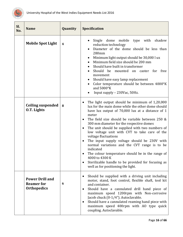

<span id="page-16-2"></span><span id="page-16-1"></span><span id="page-16-0"></span>

| SI.<br>No. | <b>Name</b>                                                       | Quantity                | <b>Specification</b>                                                                                                                                                                                                                                                                                                                                                                                                                                                                                                                                                                                                                                                                                              |
|------------|-------------------------------------------------------------------|-------------------------|-------------------------------------------------------------------------------------------------------------------------------------------------------------------------------------------------------------------------------------------------------------------------------------------------------------------------------------------------------------------------------------------------------------------------------------------------------------------------------------------------------------------------------------------------------------------------------------------------------------------------------------------------------------------------------------------------------------------|
|            | <b>Mobile Spot Light</b>                                          | $\overline{\mathbf{4}}$ | dome<br>shadow<br>Single<br>mobile<br>with<br>type<br>reduction technology<br>Diameter of the dome should be less than<br>280mm<br>Minimum light output should be 30,000 l ux<br>Minimum field size should be 200 mm<br>Should have built in transformer<br>Should be mounted on caster for free<br>movement<br>Should have easy lamp replacement<br>Color temperature should be between 4000°K<br>and 5000°K<br>Input supply - 230Vac, 50Hz.                                                                                                                                                                                                                                                                     |
|            | <b>Ceiling suspended</b><br><b>O.T. Lights</b>                    | 8                       | The light output should be minimum of 1,20,000<br>$\bullet$<br>lux for the main dome while the other dome should<br>have lux output of 70,000 lux at a distance of 1<br>meter<br>The field size should be variable between 250 &<br>$\bullet$<br>300 mm diameter for the respective domes<br>The unit should be supplied with two numbers of<br>low voltage unit with CVT to take care of the<br>voltage fluctuations<br>The input supply voltage should be 230V with<br>$\bullet$<br>normal variations and the CVT range is to be<br>indicated<br>The colour temperature should be in the range of<br>4000 to 4300 K<br>Sterilizable handle to be provided for focusing as<br>well as for positioning the light. |
|            | <b>Power Drill and</b><br><b>Reamer for</b><br><b>Orthopedics</b> | 6                       | Should be supplied with a driving unit including<br>$\bullet$<br>motor, stand, foot control, flexible shaft, tool kit<br>and container.<br>Should have a cannulated drill hand piece of<br>maximum speed 1200rpm with Non-corrosive<br>Jacob chuck (0-1/4"). Autoclavable.<br>Should have a cannulated reaming hand piece with<br>٠<br>maximum speed 400rpm with AO type quick<br>coupling. Autoclavable.                                                                                                                                                                                                                                                                                                         |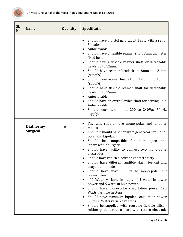

<span id="page-17-0"></span>

| SI.<br>No. | <b>Name</b>                         | Quantity | <b>Specification</b>                                                                                                                                                                                                                                                                                                                                                                                                                                                                                                                                                                                                                                                                                                                                                                                                                                                                                                                                               |
|------------|-------------------------------------|----------|--------------------------------------------------------------------------------------------------------------------------------------------------------------------------------------------------------------------------------------------------------------------------------------------------------------------------------------------------------------------------------------------------------------------------------------------------------------------------------------------------------------------------------------------------------------------------------------------------------------------------------------------------------------------------------------------------------------------------------------------------------------------------------------------------------------------------------------------------------------------------------------------------------------------------------------------------------------------|
|            |                                     |          | Should have a pistol grip saggital saw with a set of<br>$\bullet$<br>5 blades.<br>Autoclavable.<br>$\bullet$<br>Should have a flexible reamer shaft 8mm diameter<br>$\bullet$<br>fixed head.<br>Should have a flexible reamer shaft for detachable<br>$\bullet$<br>heads up to 12mm.<br>Should have reamer heads from 8mm to 12 mm<br>$\bullet$<br>(set of 9).<br>Should have reamer heads from 12.5mm to 15mm<br>$\bullet$<br>(set of $6$ ).<br>Should have flexible reamer shaft for detachable<br>$\bullet$<br>heads up to 15mm.<br>Autoclavable.<br>$\bullet$<br>Should have an extra flexible shaft for driving unit.<br>$\bullet$<br>Autoclavable.<br>Should work with input 200 to 240Vac 50 Hz<br>٠<br>supply.                                                                                                                                                                                                                                             |
|            | <b>Diathermy</b><br><b>Surgical</b> | 10       | The unit should have mono-polar and bi-polar<br>$\bullet$<br>modes.<br>The unit should have separate generator for mono-<br>$\bullet$<br>polar and bipolar.<br>Should be compatible for both<br>open<br>and<br>$\bullet$<br>laparoscopic surgery.<br>Should have facility to connect two mono-polar<br>$\bullet$<br>electrodes.<br>Should have return electrode contact safety.<br>Should have different audible alarm for cut and<br>$\bullet$<br>coagulation modes.<br>Should have maximum range mono-polar cut<br>$\bullet$<br>power from 300 to<br>400 Watts variable in steps of 2 watts in lower<br>$\bullet$<br>power and 5 watts in high power.<br>Should have mono-polar coagulation power 120<br>٠<br>Watts variable in steps.<br>Should have maximum bipolar coagulation power<br>$\bullet$<br>50 to 80 Watts variable in steps.<br>Should be supplied with reusable flexible silicon<br>$\bullet$<br>rubber patient return plate with return electrode |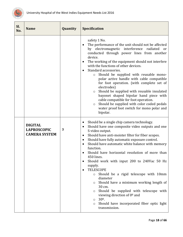

<span id="page-18-0"></span>

| Sl.<br>No. | <b>Name</b>                                                  | Quantity | <b>Specification</b>                                                                                                                                                                                                                                                                                                                                                                                                                                                                                                                                                                                                                                                                                                                                                                                                                     |
|------------|--------------------------------------------------------------|----------|------------------------------------------------------------------------------------------------------------------------------------------------------------------------------------------------------------------------------------------------------------------------------------------------------------------------------------------------------------------------------------------------------------------------------------------------------------------------------------------------------------------------------------------------------------------------------------------------------------------------------------------------------------------------------------------------------------------------------------------------------------------------------------------------------------------------------------------|
|            |                                                              |          | safety 1 No.<br>The performance of the unit should not be affected<br>by electromagnetic interference<br>radiated or<br>conducted through power lines from another<br>device.<br>The working of the equipment should not interfere<br>$\bullet$<br>with the functions of other devices.<br>Standard accessories.<br>$\bullet$<br>Should be supplied with reusable mono-<br>$\circ$<br>polar active handle with cable compatible<br>for foot operation. (with complete set of<br>electrodes)<br>Should be supplied with reusable insulated<br>$\circ$<br>bayonet shaped bipolar hand piece with<br>cable compatible for foot operation.<br>Should be supplied with color coded pedals<br>$\circ$<br>water proof foot switch for mono polar and<br>bipolar.                                                                                |
|            | <b>DIGITAL</b><br><b>LAPROSCOPIC</b><br><b>CAMERA SYSTEM</b> | 3        | Should be a single chip camera technology.<br>$\bullet$<br>Should have one composite video outputs and one<br>$\bullet$<br>S-video output.<br>Should have anti-moister filter for fiber scopes.<br>$\bullet$<br>Should have fully automatic exposure control.<br>$\bullet$<br>Should have automatic white balance with memory<br>$\bullet$<br>function.<br>Should have horizontal resolution of more than<br>450 lines.<br>Should work with input 200 to 240Vac 50 Hz<br>supply.<br><b>TELESCOPE</b><br>$\bullet$<br>Should be a rigid telescope with 10mm<br>$\circ$<br>diameter<br>Should have a minimum working length of<br>$\circ$<br>30 cm.<br>Should be supplied with telescope with<br>O<br>viewing direction of $0°$ and<br>$30^{\circ}$ .<br>$\circ$<br>Should have incorporated fiber optic light<br>$\circ$<br>transmission. |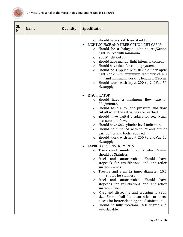

| SI.<br>No. | <b>Name</b> | Quantity | <b>Specification</b>                                                                                                                                                                                                                                                                                                                                                                                                                                                                                                                                                                         |
|------------|-------------|----------|----------------------------------------------------------------------------------------------------------------------------------------------------------------------------------------------------------------------------------------------------------------------------------------------------------------------------------------------------------------------------------------------------------------------------------------------------------------------------------------------------------------------------------------------------------------------------------------------|
|            |             |          | Should have scratch resistant tip.<br>O<br>LIGHT SOURCE AND FIBER OPTIC LIGHT CABLE<br>Should be a halogen light source/Xenon<br>O<br>light source with minimum<br>250W light output.<br>$\circ$<br>Should have manual light intensity control.<br>O<br>Should have dual fan cooling system.<br>$\circ$<br>Should be supplied with flexible fiber optic<br>$\circ$<br>light cable with minimum diameter of 4.8<br>mm and minimum working length of 230cm.<br>Should work with input 200 to 240Vac 50<br>$\circ$<br>Hz supply.                                                                |
|            |             |          | <b>INSUFFLATOR</b><br>Should have a maximum flow rate of<br>$\circ$<br>20L/minute.<br>Should have automatic pressure and flow<br>O<br>cut off when the set values are reached.<br>Should have digital displays for set, actual<br>$\circ$<br>pressure and flow.<br>Should have Co2 cylinder level indicator.<br>$\circ$<br>Should be supplied with in-let and out-let<br>$\circ$<br>gas tubings and tools required.<br>Should work with input 200 to 240Vac 50<br>$\circ$<br>Hz supply.<br>LAPROSCOPIC INSTRUMENTS<br>Trocars and cannula inner diameter 5.5 mm,<br>O<br>should be Stainless |
|            |             |          | autoclavable.<br>Should<br>have<br>Steel<br>and<br>O<br>stopcock for insufflations and anti-reflex<br>surface $-4$ nos.<br>Trocars and cannula inner diameter 10.5<br>O<br>mm, should be Stainless<br>Steel<br>and<br>autoclavable.<br>Should<br>have<br>O<br>stopcock for insufflations and anti-reflex<br>surface - 2 nos.<br>Maryland dissecting and grasping forceps,<br>O<br>size 5mm, shall be dismantled to three<br>pieces for better cleaning and disinfection.<br>Should be fully rotational 360 degree and<br>$\circ$<br>autoclavable.                                            |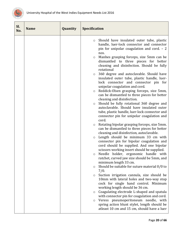

| Sl.<br>No. | <b>Name</b> | Quantity | Specification                                                                                                                                                                                                                                                                                                                                                                                                                                                                                                                                                                                                                                                                                                                                                                                                                                                                                                                                                                                                                                                                                                                                                                                                                                                                                                                                                                                                                                                                                                                                                                                                                                                                                                                                                                                                                                                  |
|------------|-------------|----------|----------------------------------------------------------------------------------------------------------------------------------------------------------------------------------------------------------------------------------------------------------------------------------------------------------------------------------------------------------------------------------------------------------------------------------------------------------------------------------------------------------------------------------------------------------------------------------------------------------------------------------------------------------------------------------------------------------------------------------------------------------------------------------------------------------------------------------------------------------------------------------------------------------------------------------------------------------------------------------------------------------------------------------------------------------------------------------------------------------------------------------------------------------------------------------------------------------------------------------------------------------------------------------------------------------------------------------------------------------------------------------------------------------------------------------------------------------------------------------------------------------------------------------------------------------------------------------------------------------------------------------------------------------------------------------------------------------------------------------------------------------------------------------------------------------------------------------------------------------------|
|            |             |          | Should have insulated outer tube, plastic<br>$\circlearrowright$<br>handle, luer-lock connector and connector<br>pin for unipolar coagulation and cord. - 2<br>nos.<br>Manhes grasping forceps, size 5mm can be<br>$\circ$<br>dismantled to three pieces for better<br>cleaning and disinfection. Should be fully<br>rotational<br>360 degree and autoclavable. Should have<br>$\circ$<br>insulated outer tube, plastic handle, luer-<br>lock connector and connector pin for<br>unipolar coagulation and cord.<br>Reddick-Olsen grasping forceps, size 5mm,<br>$\circ$<br>can be dismantled to three pieces for better<br>cleaning and disinfection.<br>Should be fully rotational 360 degree and<br>$\circ$<br>autoclavable. Should have insulated outer<br>tube, plastic handle, luer-lock connector and<br>connector pin for unipolar coagulation and<br>cord.<br>Rotating bipolar grasping forceps, size 5mm.<br>$\circ$<br>can be dismantled to three pieces for better<br>cleaning and disinfection, autoclavable.<br>Length should be minimum 33 cm with<br>$\circ$<br>connector pin for bipolar coagulation and<br>cord should be supplied. And one bipolar<br>scissors working insert should be supplied.<br>Needle holder, ergonomic handle with<br>$\circ$<br>ratchet, curved jaw size should be 5mm, and<br>minimum length 33 cm.<br>Should be suitable for suture material 0/0 to<br>$\circ$<br>7/0.<br>Suction irrigation cannula, size should be<br>$\circ$<br>10mm with lateral holes and two-way stop<br>cock for single hand control. Minimum<br>working length should be 36 cm.<br>Coagulating electrode L-shaped and spatula<br>$\circ$<br>with connector pin for coagulation and cord.<br>Veress pneumoperitoneum needle, with<br>$\circ$<br>spring action blunt stylet, length should be<br>atleast 10 cm and 15 cm, should have a luer |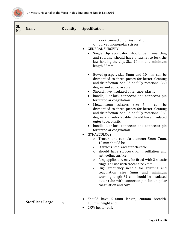

<span id="page-21-0"></span>

| Sl.<br>No. | <b>Name</b>             | Quantity | <b>Specification</b>                                                                                                                                                                                                                                                                                                                                                                                                                                                                                                                                                                                                                                                                                                                                                                                                                                                                                                                                                                                                                                                                                                                                                                                                                                                                                                                                                                                               |
|------------|-------------------------|----------|--------------------------------------------------------------------------------------------------------------------------------------------------------------------------------------------------------------------------------------------------------------------------------------------------------------------------------------------------------------------------------------------------------------------------------------------------------------------------------------------------------------------------------------------------------------------------------------------------------------------------------------------------------------------------------------------------------------------------------------------------------------------------------------------------------------------------------------------------------------------------------------------------------------------------------------------------------------------------------------------------------------------------------------------------------------------------------------------------------------------------------------------------------------------------------------------------------------------------------------------------------------------------------------------------------------------------------------------------------------------------------------------------------------------|
|            |                         |          | -lock connector for insufflation.<br>o Curved monopolar scissor.<br><b>GENERAL SURGERY</b><br>Single clip applicator, should be dismantling<br>and rotating, should have a ratchet to lock the<br>jaw holding the clip. Size 10mm and minimum<br>length 33mm.<br>Bowel grasper, size 5mm and 10 mm can be<br>dismantled to three pieces for better cleaning<br>and disinfection. Should be fully rotational 360<br>degree and autoclavable.<br>Should have insulated outer tube, plastic<br>handle, luer-lock connector and connector pin<br>for unipolar coagulation.<br>Metzenbaum scissors, size<br>5mm<br>can<br>be<br>dismantled to three pieces for better cleaning<br>and disinfection. Should be fully rotational 360<br>degree and autoclavable. Should have insulated<br>outer tube, plastic<br>handle, luer-lock connector and connector pin<br>for unipolar coagulation.<br>GYNAECOLOGY<br>$\bullet$<br>Trocars and cannula diameter 5mm, 7mm,<br>O<br>10 mm should be<br>Stainless Steel and autoclavable.<br>O<br>Should have stopcock for insufflation and<br>O<br>anti-reflux surface<br>Ring applicator, may be fitted with 2 silastic<br>O<br>rings. For use with trocar size 7mm.<br>High frequency needle for splitting and<br>$\circ$<br>coagulation size 5mm and minimum<br>working length 31 cm. should be insulated<br>outer tube with connector pin for unipolar<br>coagulation and cord. |
|            | <b>Steriliser Large</b> | 4        | Should have 510mm length, 200mm breadth,<br>150mm height and<br>2KW heater coil.                                                                                                                                                                                                                                                                                                                                                                                                                                                                                                                                                                                                                                                                                                                                                                                                                                                                                                                                                                                                                                                                                                                                                                                                                                                                                                                                   |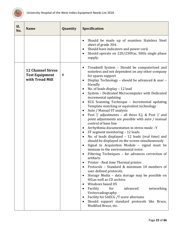

<span id="page-22-0"></span>

| SI.<br>No. | <b>Name</b>                                                          | Quantity | <b>Specification</b>                                                                                                                                                                                                                                                                                                                                                                                                                                                                                                                                                                                                                                                                                                                                                                                                                                                                                                                                                                                                                                                                                                                                                                                                                                                                                                                                                                                                                                                                                    |
|------------|----------------------------------------------------------------------|----------|---------------------------------------------------------------------------------------------------------------------------------------------------------------------------------------------------------------------------------------------------------------------------------------------------------------------------------------------------------------------------------------------------------------------------------------------------------------------------------------------------------------------------------------------------------------------------------------------------------------------------------------------------------------------------------------------------------------------------------------------------------------------------------------------------------------------------------------------------------------------------------------------------------------------------------------------------------------------------------------------------------------------------------------------------------------------------------------------------------------------------------------------------------------------------------------------------------------------------------------------------------------------------------------------------------------------------------------------------------------------------------------------------------------------------------------------------------------------------------------------------------|
|            |                                                                      |          | Should be made up of seamless Stainless Steel<br>$\bullet$<br>sheet of grade 304.<br>Should have indicators and power cord.<br>$\bullet$<br>Should operate on 220/230Vac, 50Hz single phase<br>$\bullet$<br>supply.                                                                                                                                                                                                                                                                                                                                                                                                                                                                                                                                                                                                                                                                                                                                                                                                                                                                                                                                                                                                                                                                                                                                                                                                                                                                                     |
|            | <b>12 Channel Stress</b><br><b>Test Equipment</b><br>with Tread Mill | 4        | Treadmill System - Should be computerized and<br>$\bullet$<br>noiseless and not dependent on any other company<br>for spares support<br>Display Technology - should be advanced & user -<br>$\bullet$<br>friendly<br>No. of leads display - 12 lead<br>$\bullet$<br>System - Dedicated Microcomputer with Dedicated<br>incremental updating<br>ECG Scanning Technique - Incremental updating<br>$\bullet$<br>Template matching or equivalent technology<br>Auto / Manual ST analysis<br>$\bullet$<br>Post 'j' adjustments - all three E,J, & Post 'j' and<br>$\bullet$<br>point adjustments are possible with auto / manual<br>control of base line<br>Arrhythmia documentation in stress mode -Y<br>$\bullet$<br>ST segment monitoring - 12 leads<br>٠<br>No. of leads displayed - 12 leads (real time) and<br>٠<br>should be displayed on the screen simultaneously<br>Signal in Acquisition Module - signal must be<br>immune to the environmental noise.<br>Filtering Techniques - for advances correction of<br>artifacts<br>Printer - Real time Thermal printer.<br>$\bullet$<br>Protocols - Standard & minimum 10 numbers of<br>user defined protocols.<br>Storage Media - data storage may be possible on<br>$\bullet$<br>HD, as well as CD archive.<br>Windows based OS<br>$\bullet$<br>Facility<br>for<br>advanced<br>networking<br>٠<br>Vectorcadiography<br>Facility for SAECG /T wave alternans<br>$\bullet$<br>Should support standard protocols like Bruce,<br>٠<br>Modified Bruce, etc. |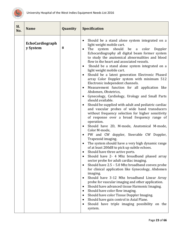

<span id="page-23-0"></span>

| Sl.<br>No. | <b>Name</b>                 | Quantity | <b>Specification</b>                                                                                                                                                                                                                                                                                                                                                                                                                                                                                                                                                                                                                                                                                                                                                                                                                                                                                                                                                                                                                                                                                                                                                                                                                                                                                                                                                                                                                                                                                                                                                                                                                                                                                                                                                                                                                                                                          |
|------------|-----------------------------|----------|-----------------------------------------------------------------------------------------------------------------------------------------------------------------------------------------------------------------------------------------------------------------------------------------------------------------------------------------------------------------------------------------------------------------------------------------------------------------------------------------------------------------------------------------------------------------------------------------------------------------------------------------------------------------------------------------------------------------------------------------------------------------------------------------------------------------------------------------------------------------------------------------------------------------------------------------------------------------------------------------------------------------------------------------------------------------------------------------------------------------------------------------------------------------------------------------------------------------------------------------------------------------------------------------------------------------------------------------------------------------------------------------------------------------------------------------------------------------------------------------------------------------------------------------------------------------------------------------------------------------------------------------------------------------------------------------------------------------------------------------------------------------------------------------------------------------------------------------------------------------------------------------------|
|            | EchoCardiograph<br>y System | 8        | Should be a stand alone system integrated on a<br>$\bullet$<br>light weight mobile cart.<br>should be a color<br>The<br>system<br>Doppler<br>$\bullet$<br>Echocardiography all digital beam former system<br>to study the anatomical abnormalities and blood<br>flow in the heart and associated vessels.<br>Should be a stand alone system integrated on a<br>$\bullet$<br>light weight mobile cart.<br>Should be a latest generation Electronic Phased<br>array Color Doppler system with minimum 512<br>Electronic independent channels.<br>Measurement function for all application like<br>$\bullet$<br>Abdomen, Obstetrics,<br>Gynecology, Cardiology, Urology and Small Parts<br>$\bullet$<br>should available.<br>Should be supplied with adult and pediatric cardiac<br>and vascular probes of wide band transducers<br>without frequency selection for higher sensitivity<br>of response over a broad frequency range of<br>operation.<br>Should have 2D, M-mode, Anatomical M-mode,<br>$\bullet$<br>Color M-mode,<br>PW and CW doppler, Steerable CW Doppler,<br>$\bullet$<br>Trapezoid imaging.<br>The system should have a very high dynamic range<br>$\bullet$<br>of at least 200dB to pick up subtle echoes.<br>Should have three active ports.<br>Should have 2- 4 Mhz broadband phased array<br>sector probe for adult cardiac imaging.<br>Should have 2.5 - 5.0 Mhz broadband convex probe<br>$\bullet$<br>for clinical application like Gynecology, Abdomen<br>imaging.<br>Should have 3-12 Mhz broadband Linear Array<br>$\bullet$<br>probe for vascular imaging and other application.<br>Should have advanced tissue Harmonic Imaging.<br>٠<br>Should have color flow imaging.<br>٠<br>Should have color Tissue Doppler Imaging.<br>٠<br>Should have gain control in Axial Plane.<br>$\bullet$<br>Should have triple imaging possibility on the<br>$\bullet$<br>system. |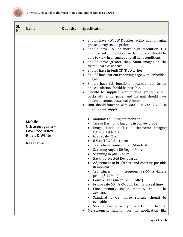

<span id="page-24-1"></span><span id="page-24-0"></span>

| Sl.<br>No. | <b>Name</b>                                                                                     | Quantity | <b>Specification</b>                                                                                                                                                                                                                                                                                                                                                                                                                                                                                                                                                                                                                                                                                                                                                                                                                   |
|------------|-------------------------------------------------------------------------------------------------|----------|----------------------------------------------------------------------------------------------------------------------------------------------------------------------------------------------------------------------------------------------------------------------------------------------------------------------------------------------------------------------------------------------------------------------------------------------------------------------------------------------------------------------------------------------------------------------------------------------------------------------------------------------------------------------------------------------------------------------------------------------------------------------------------------------------------------------------------------|
|            |                                                                                                 |          | Should have PW/CW Doppler facility in all imaging<br>$\bullet$<br>phased array sector probes.<br>Should have 15" or more high resolution TFT<br>$\bullet$<br>monitor with tilt and swivel facility and should be<br>able to view in all angles and all light conditions.<br>Should have greater than 5000 images in the<br>$\bullet$<br>system hard disk drive<br>Should have in built CD/DVD writer.<br>٠<br>Should have patient reporting page with embedded<br>$\bullet$<br>images.<br>Should have full functional measurement facility<br>$\bullet$<br>and calculation should be possible.<br>Should be supplied with thermal printer and 6<br>٠<br>packs of thermal paper and the unit should have<br>option to connect external printer.<br>Unit should function with 200 - 240Vac, 50/60 Hz<br>$\bullet$<br>input power supply. |
|            | Mobile-<br>Ultrasonogram -<br>Low Frequency -<br><b>Black &amp; White -</b><br><b>Real Time</b> |          | Monitor 12" Antiglare monitor<br>Tissue Harmonic Imaging in convex probe<br>Image Mode : Tissue Harmonic Imaging<br>$B$ , $B$ + $B$ , $B$ + $M$ , $M$ , $4B$<br>Gray scale: 256<br>8 Step TGC Adjustment<br>Transducer connector - 2 Standard<br>Scanning Angel: 80 Deg or More<br>Scanning Depth: 24 Cm<br>$\bullet$<br>Backlit projected Key boards<br>Adjustment of brightness and contrast possible<br>in monitor<br>Transducer<br>frequency: (2-6Mhz)-Linear<br>probe(5-11Mhz)<br>Convex Transducer (2.5-5 Mhz)<br>Frame rate 60 F/s-S-zoom facility in real time<br>Cine memory image memory should be<br>available<br>Standard 1 GB image storage should be<br>available<br>Should have the facility to select colour chroma<br>Measurement function for all application like                                                   |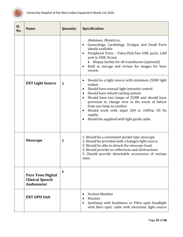

<span id="page-25-3"></span><span id="page-25-2"></span><span id="page-25-1"></span><span id="page-25-0"></span>

| Sl.<br>No. | <b>Name</b>                                                             | Quantity | <b>Specification</b>                                                                                                                                                                                                                                                                                                                                                                                                          |
|------------|-------------------------------------------------------------------------|----------|-------------------------------------------------------------------------------------------------------------------------------------------------------------------------------------------------------------------------------------------------------------------------------------------------------------------------------------------------------------------------------------------------------------------------------|
|            |                                                                         |          | Abdomen, Obstetrics,<br>Gynecology, Cardiology, Urolgoy and Small Parts<br>$\bullet$<br>should available<br>Peripheral Ports - Video, VGA, Two USB ports, LAN<br>$\bullet$<br>port to USB, Dicom<br>Biopsy facility for all transducers (optional)<br>Built in storage and review for images for later<br>review                                                                                                              |
|            | <b>ENT Light Source</b>                                                 | 5        | Should be a light source with minimum 250W light<br>$\bullet$<br>output.<br>Should have manual light intensity control.<br>$\bullet$<br>Should have inbuilt cooling system.<br>٠<br>Should have two lamps of 250W and should have<br>provision to change over in the event of failure<br>from one lamp to another.<br>Should work with input 200 to 240Vac 50 Hz<br>٠<br>supply<br>Should be supplied with light guide cable. |
|            | <b>Otoscope</b>                                                         | 5        | 1. Should be a convenient pocket type otoscope.<br>2. Should be provided with a halogen light source.<br>3. Should be able to detach the otoscope head.<br>4. Should provide no reflections and obstructions.<br>5. Should provide detachable accessories of various<br>sizes.                                                                                                                                                |
|            | <b>Pure Tone Digital</b><br><b>Clinical Speech</b><br><b>Audiometer</b> | 6        |                                                                                                                                                                                                                                                                                                                                                                                                                               |
|            | <b>ENT OPD Unit</b>                                                     |          | <b>Suction Machine</b><br>Warmer<br>Spotlamp with headmove or Fibre optic headlight<br>with fibre optic cable with electronic light source                                                                                                                                                                                                                                                                                    |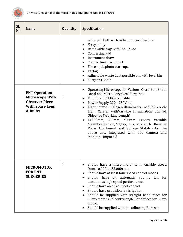

<span id="page-26-1"></span><span id="page-26-0"></span>

| Sl.<br>No. | <b>Name</b>                                                                                                  | Quantity | <b>Specification</b>                                                                                                                                                                                                                                                                                                                                                                                                                                                                                                                                                       |
|------------|--------------------------------------------------------------------------------------------------------------|----------|----------------------------------------------------------------------------------------------------------------------------------------------------------------------------------------------------------------------------------------------------------------------------------------------------------------------------------------------------------------------------------------------------------------------------------------------------------------------------------------------------------------------------------------------------------------------------|
|            |                                                                                                              |          | with twin bulb with reflector over fuse flow<br>X-ray lobby<br>٠<br>Removable tray with Lid - 2 nos<br>$\bullet$<br><b>Converting Pad</b><br>$\bullet$<br>Instrument draw<br>$\bullet$<br>Compartment with lock<br>$\bullet$<br>Fibre optic photo otoscope<br>$\bullet$<br>Eartag<br>$\bullet$<br>Adjustable waste dust possible bin with level bin<br>$\bullet$<br>Surgeons Chair<br>$\bullet$                                                                                                                                                                            |
|            | <b>ENT Operation</b><br><b>Microscope With</b><br><b>Observer Piece</b><br><b>With Spare Lens</b><br>& Bulbs | 1        | Operating Microscope for Various Micro-Ear, Endo-<br>$\bullet$<br>Nasal and Micro-Laryngeal Surgeries<br>Floor Stand 188Cm rollable<br>$\bullet$<br>Power Supply 220 - 250Volts<br>٠<br>Light Source - Halogen illumination with fibreoptic<br>$\bullet$<br>Light Carrier withVariable Illumination Control,<br>Objective (Working Length)<br>F=200mm, 300mm, 400mm Lenses, Variable<br>$\bullet$<br>Magnification 6x, 9x,12x, 15x, 25x with Observer<br>Piece Attachment and Voltage Stabilizerfor the<br>above use. Integrated with CCd Camera and<br>Monitor - Imported |
|            | <b>MICROMOTOR</b><br><b>FOR ENT</b><br><b>SURGERIES</b>                                                      | 1        | Should have a micro motor with variable speed<br>$\bullet$<br>from 10,000 to 35,000rpm.<br>Should have at least four speed control modes.<br>$\bullet$<br>automatic cooling fan<br>Should have<br>an<br>for<br>$\bullet$<br>continuous high speed performance.<br>Should have an on/off foot control.<br>$\bullet$<br>Should have provision for irrigation.<br>$\bullet$<br>Should be supplied with straight hand piece for<br>$\bullet$<br>micro motor and contra angle hand piece for micro<br>motor.<br>Should be supplied with the following Burs set.                 |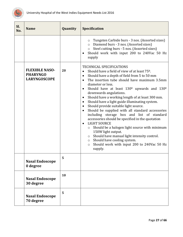

<span id="page-27-3"></span><span id="page-27-2"></span><span id="page-27-1"></span><span id="page-27-0"></span>

| SI.<br>No. | <b>Name</b>                                                     | Quantity | <b>Specification</b>                                                                                                                                                                                                                                                                                                                                                                                                                                                                                                                                                                                                                                                                                                                                                                                                                                                                                                                                                                                                   |
|------------|-----------------------------------------------------------------|----------|------------------------------------------------------------------------------------------------------------------------------------------------------------------------------------------------------------------------------------------------------------------------------------------------------------------------------------------------------------------------------------------------------------------------------------------------------------------------------------------------------------------------------------------------------------------------------------------------------------------------------------------------------------------------------------------------------------------------------------------------------------------------------------------------------------------------------------------------------------------------------------------------------------------------------------------------------------------------------------------------------------------------|
|            |                                                                 |          | Tungsten Carbide burs - 3 nos. (Assorted sizes)<br>$\circ$<br>o Diamond burs - 3 nos. (Assorted sizes)<br>o Steel cutting burs - 5 nos. (Assorted sizes)<br>Should work with input 200 to 240Vac 50 Hz<br>$\bullet$<br>supply                                                                                                                                                                                                                                                                                                                                                                                                                                                                                                                                                                                                                                                                                                                                                                                          |
|            | <b>FLEXIBLE NASO-</b><br><b>PHARYNGO</b><br><b>LARYNGOSCOPE</b> | 20       | <b>TECHNICAL SPECIFICATIONS</b><br>Should have a field of view of at least 75 <sup>o</sup> .<br>$\bullet$<br>Should have a depth of field from 5 to 50 mm<br>$\bullet$<br>The insertion tube should have maximum 3.5mm<br>$\bullet$<br>diameter or less.<br>Should have at least 130 <sup>o</sup> upwards and 130 <sup>o</sup><br>$\bullet$<br>downwards angulations.<br>Should have a working length of at least 300 mm.<br>$\bullet$<br>Should have a light guide illuminating system.<br>$\bullet$<br>Should provide suitable light source.<br>$\bullet$<br>Should be supplied with all standard accessories<br>$\bullet$<br>including storage box and list of standard<br>accessories should be specified in the quotation<br><b>LIGHT SOURCE</b><br>$\bullet$<br>Should be a halogen light source with minimum<br>$\circ$<br>150W light output.<br>Should have manual light intensity control.<br>$\circ$<br>Should have cooling system.<br>$\circ$<br>Should work with input 200 to 240Vac 50 Hz<br>O<br>supply. |
|            | <b>Nasal Endoscope</b><br>0 degree                              | 5        |                                                                                                                                                                                                                                                                                                                                                                                                                                                                                                                                                                                                                                                                                                                                                                                                                                                                                                                                                                                                                        |
|            | <b>Nasal Endoscope</b><br>30 degree                             | 10       |                                                                                                                                                                                                                                                                                                                                                                                                                                                                                                                                                                                                                                                                                                                                                                                                                                                                                                                                                                                                                        |
|            | <b>Nasal Endoscope</b><br>70 degree                             | 5        |                                                                                                                                                                                                                                                                                                                                                                                                                                                                                                                                                                                                                                                                                                                                                                                                                                                                                                                                                                                                                        |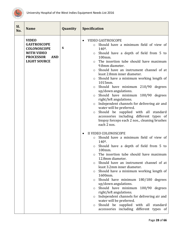

| SI.<br>No. | <b>Name</b>                                                                                                                            | Quantity | <b>Specification</b>                                                                                                                                                                                                                                                                                                                                                                                                                                                                                                                                                                                                                                                                                                                                                                                                                                                                                                                                                                                                                                                                                                                                                                                                                                                                                                                                                                                                                                                                                                   |
|------------|----------------------------------------------------------------------------------------------------------------------------------------|----------|------------------------------------------------------------------------------------------------------------------------------------------------------------------------------------------------------------------------------------------------------------------------------------------------------------------------------------------------------------------------------------------------------------------------------------------------------------------------------------------------------------------------------------------------------------------------------------------------------------------------------------------------------------------------------------------------------------------------------------------------------------------------------------------------------------------------------------------------------------------------------------------------------------------------------------------------------------------------------------------------------------------------------------------------------------------------------------------------------------------------------------------------------------------------------------------------------------------------------------------------------------------------------------------------------------------------------------------------------------------------------------------------------------------------------------------------------------------------------------------------------------------------|
|            | <b>VIDEO</b><br><b>GASTROSCOPE</b><br><b>COLONOSCOPE</b><br><b>WITH VIDEO</b><br><b>PROCESSOR</b><br><b>AND</b><br><b>LIGHT SOURCE</b> | 6        | <b>VIDEO GASTROSCOPE</b><br>$\bullet$<br>Should have a minimum field of view of<br>$140^{\circ}$ .<br>Should have a depth of field from 5 to<br>$\circ$<br>100mm.<br>The insertion tube should have maximum<br>$\circ$<br>9.8mm diameter.<br>Should have an instrument channel of at<br>$\circ$<br>least 2.8mm inner diameter.<br>Should have a minimum working length of<br>$\circ$<br>1015mm.<br>o Should have minimum 210/90 degrees<br>up/down angulations.<br>Should have minimum 100/90 degrees<br>$\circ$<br>right/left angulations.<br>Independent channels for delivering air and<br>$\circ$<br>water will be preferred.<br>Should be supplied with all standard<br>$\circ$<br>accessories including different types of<br>biopsy forceps each 2 nos., cleaning brushes<br>each 2 nos.<br>II VIDEO COLONOSCOPE<br>Should have a minimum field of view of<br>$\circ$<br>$140^{\circ}$ .<br>Should have a depth of field from 5 to<br>$\circ$<br>100mm.<br>The insertion tube should have maximum<br>$\circ$<br>12.8mm diameter.<br>Should have an instrument channel of at<br>$\circ$<br>least 3.2mm inner diameter.<br>Should have a minimum working length of<br>$\circ$<br>1600mm.<br>Should have minimum 180/180 degrees<br>$\circ$<br>up/down angulations.<br>Should have minimum 100/90 degrees<br>O<br>right/left angulations.<br>Independent channels for delivering air and<br>O<br>water will be preferred.<br>Should be supplied with all standard<br>O<br>accessories including different types of |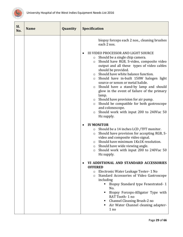

| Sl.<br>No. | <b>Name</b> | Quantity | <b>Specification</b>                                                                                                                                                                                                                                                                                                                                                                                                                                                                                                                                                                                                                                                                                                                                                                                                                                                                                                                                                                                                                                                                                                                                                                                                                                                                                                                                                                                                                                                   |
|------------|-------------|----------|------------------------------------------------------------------------------------------------------------------------------------------------------------------------------------------------------------------------------------------------------------------------------------------------------------------------------------------------------------------------------------------------------------------------------------------------------------------------------------------------------------------------------------------------------------------------------------------------------------------------------------------------------------------------------------------------------------------------------------------------------------------------------------------------------------------------------------------------------------------------------------------------------------------------------------------------------------------------------------------------------------------------------------------------------------------------------------------------------------------------------------------------------------------------------------------------------------------------------------------------------------------------------------------------------------------------------------------------------------------------------------------------------------------------------------------------------------------------|
|            |             |          | biopsy forceps each 2 nos., cleaning brushes<br>each 2 nos.<br><b>III VIDEO PROCESSOR AND LIGHT SOURCE</b><br>Should be a single chip camera.<br>$\circ$<br>Should have RGB, S-video, composite video<br>$\circ$<br>output and all these types of video cables<br>should be provided.<br>Should have white balance function.<br>$\circ$<br>Should have in-built 150W halogen light<br>$\circ$<br>source or xenon or metal halide.<br>Should have a stand-by lamp and should<br>$\circ$<br>glow in the event of failure of the primary<br>lamp.<br>Should have provision for air pump.<br>$\circ$<br>Should be compatible for both gastroscope<br>$\circ$<br>and colonoscope.<br>Should work with input 200 to 240Vac 50<br>$\circ$<br>Hz supply.<br><b>IV MONITOR</b><br>Should be a 14 inches LCD /TFT monitor.<br>O<br>Should have provision for accepting RGB, S-<br>$\circ$<br>video and composite video signal.<br>Should have minimum 1Kx1K resolution.<br>$\circ$<br>Should have wide viewing angle.<br>$\circ$<br>Should work with input 200 to 240Vac 50<br>$\circ$<br>Hz supply.<br>VI ADDITIONAL AND STANDARD ACCESSORIES<br><b>OFFERED</b><br>Electronic Water Leakage Tester-1 No<br>$\circ$<br>Standard Accessories of Video Gastroscope<br>$\circ$<br>including<br>Biopsy Standard type Fenestrated-1<br>ш<br>No.<br>Biopsy Forceps-Alligator Type with<br>RAT Tooth-1 no<br>Channel Cleaning Brush-2 no<br>Air Water Channel cleaning adapter-<br>1 no |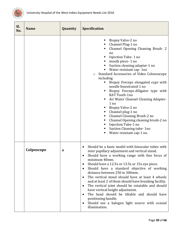

<span id="page-30-0"></span>

| Sl.<br>No. | <b>Name</b> | Quantity         | <b>Specification</b>                                                                                                                                                                                                                                                                                                                                                                                                                                                                                                                                                                                                                                                                                                           |
|------------|-------------|------------------|--------------------------------------------------------------------------------------------------------------------------------------------------------------------------------------------------------------------------------------------------------------------------------------------------------------------------------------------------------------------------------------------------------------------------------------------------------------------------------------------------------------------------------------------------------------------------------------------------------------------------------------------------------------------------------------------------------------------------------|
|            |             |                  | Biopsy Valve-2 no<br>Channel Plug-1 no<br>Channel Opening Cleaning Brush-2<br>no<br>Injection Tube-1 no<br>mouth piece-1 no<br>Suction cleaning adapter-1 no<br>Water resistant cap-1no<br>Standard Accessories of Video Colonoscope<br>$\circ$<br>including<br>Biopsy Forceps elongated cups with<br>ш<br>needle fenestrated-1 no<br>Biopsy Forceps-Alligator type with<br>RAT Tooth-1no<br>Air Water Channel Cleaning Adapter-<br>1 no<br>Biopsy Valve-2 no<br>Channel plug-1 no<br>п,<br>Channel Cleaning Brush-2 no<br>Channel Opening cleaning brush-2 no<br>Injection Tube-1 no<br>Suction Cleaning tube- 1no<br>Water resistant cap-1 no.                                                                               |
|            | Colposcope  | $\boldsymbol{4}$ | Should be a basic model with binocular tubes with<br>inter papillary adjustment and vertical stand.<br>Should have a working range with fine focus of<br>minimum 40mm.<br>Should have a 12.5x or 13.5x or 15x eye piece.<br>$\bullet$<br>Should have a standard objective of working<br>٠<br>distance between 250 to 300mm.<br>The vertical stand should have at least 4 wheels<br>$\bullet$<br>and at least 2 of them should have breaking facility.<br>The vertical joint should be rotatable and should<br>$\bullet$<br>have vertical height adjustment.<br>The head should be tiltable and should have<br>$\bullet$<br>positioning handle.<br>Should use a halogen light source with coaxial<br>$\bullet$<br>illumination. |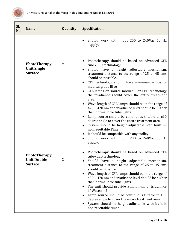

<span id="page-31-1"></span><span id="page-31-0"></span>

| Sl.<br>No. | <b>Name</b>                                                 | Quantity       | <b>Specification</b>                                                                                                                                                                                                                                                                                                                                                                                                                                                                                                                                                                                                                                                                                                                                                                                                                                                                                                |
|------------|-------------------------------------------------------------|----------------|---------------------------------------------------------------------------------------------------------------------------------------------------------------------------------------------------------------------------------------------------------------------------------------------------------------------------------------------------------------------------------------------------------------------------------------------------------------------------------------------------------------------------------------------------------------------------------------------------------------------------------------------------------------------------------------------------------------------------------------------------------------------------------------------------------------------------------------------------------------------------------------------------------------------|
|            |                                                             |                | Should work with input 200 to 240Vac 50 Hz<br>$\bullet$<br>supply.                                                                                                                                                                                                                                                                                                                                                                                                                                                                                                                                                                                                                                                                                                                                                                                                                                                  |
|            | <b>PhotoTherapy</b><br><b>Unit Single</b><br><b>Surface</b> | $\overline{2}$ | Phototherapy should be based on advanced CFL<br>٠<br>tube/LED technology<br>Should have a height adjustable mechanism,<br>$\bullet$<br>treatment distance to the range of 25 to 45 cms<br>should be possible.<br>CFL technology should have minimum 4 nos. of<br>$\bullet$<br>medical grade Blue<br>CFL lamps on source module. For LED technology<br>$\bullet$<br>the irradiance should cover the entire treatment<br>area.<br>Wave length of CFL lamps should be in the range of<br>$\bullet$<br>420 - 470 nm and irradiance level should be higher<br>than normal blue tube lights<br>Lamp source should be continuous tiltable to $\pm 90$<br>degree angle to cover the entire treatment area.<br>System should be height adjustable with built -in<br>$\bullet$<br>non resettable Timer<br>It should be compatible with any trolley<br>٠<br>Should work with input 200 to 240Vac 50 Hz<br>$\bullet$<br>supply. |
|            | PhotoTherapy<br><b>Unit Double</b><br><b>Surface</b>        | $\mathbf{2}$   | Phototherapy should be based on advanced CFL<br>tube/LED technology<br>Should have a height adjustable mechanism,<br>$\bullet$<br>treatment distance to the range of 25 to 45 cms<br>should be possible.<br>Wave length of CFL lamps should be in the range of<br>$\bullet$<br>420 - 470 nm and irradiance level should be higher<br>than normal blue tube lights.<br>The unit should provide a minimum of irradiance<br>$\bullet$<br>10Watts/m2.<br>Lamp source should be continuous tiltable to $\pm 90$<br>$\bullet$<br>degree angle to cover the entire treatment area.<br>System should be height adjustable with built-in<br>$\bullet$<br>non resettable timer                                                                                                                                                                                                                                                |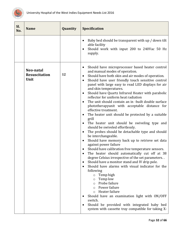

<span id="page-32-0"></span>

| Sl.<br>No. | <b>Name</b>                               | Quantity | <b>Specification</b>                                                                                                                                                                                                                                                                                                                                                                                                                                                                                                                                                                                                                                                                                                                                                                                                                                                                                                                                                                                                                                                                                                                                                                                                                                                                                                                                                                                                                                                                                                     |
|------------|-------------------------------------------|----------|--------------------------------------------------------------------------------------------------------------------------------------------------------------------------------------------------------------------------------------------------------------------------------------------------------------------------------------------------------------------------------------------------------------------------------------------------------------------------------------------------------------------------------------------------------------------------------------------------------------------------------------------------------------------------------------------------------------------------------------------------------------------------------------------------------------------------------------------------------------------------------------------------------------------------------------------------------------------------------------------------------------------------------------------------------------------------------------------------------------------------------------------------------------------------------------------------------------------------------------------------------------------------------------------------------------------------------------------------------------------------------------------------------------------------------------------------------------------------------------------------------------------------|
|            |                                           |          | Baby bed should be transparent with up / down tilt<br>$\bullet$<br>able facility<br>Should work with input 200 to 240Vac 50 Hz<br>supply.                                                                                                                                                                                                                                                                                                                                                                                                                                                                                                                                                                                                                                                                                                                                                                                                                                                                                                                                                                                                                                                                                                                                                                                                                                                                                                                                                                                |
|            | Neo-natal<br><b>Resuscitation</b><br>Unit | 12       | Should have microprocessor based heater control<br>٠<br>and manual modes of operation.<br>Should have both skin and air modes of operation.<br>$\bullet$<br>Should have user friendly touch sensitive control<br>$\bullet$<br>panel with large easy to read LED displays for air<br>and skin temperatures.<br>Should have Quartz Infrared Heater with parabolic<br>$\bullet$<br>reflector for uniform heat radiation<br>The unit should contain an in -built double surface<br>$\bullet$<br>phototherapyunit with acceptable distance for<br>effective treatment.<br>The heater unit should be protected by a suitable<br>$\bullet$<br>grill<br>The heater unit should be swiveling type and<br>$\bullet$<br>should be swiveled effortlessly.<br>The probes should be detachable type and should<br>٠<br>be interchangeable.<br>Should have memory back up to retrieve set data<br>$\bullet$<br>against power failure<br>Should have calibration free temperature sensors.<br>٠<br>The heater should automatically cut off at 38<br>degree Celsius irrespective of the set parameters<br>Should have a monitor stand and IV drip pole.<br>$\bullet$<br>Should have alarms with visual indicator for the<br>following<br>Temp high<br>$\circ$<br>Temp low<br>$\circ$<br>Probe failure<br>$\circ$<br>Power failure<br>$\circ$<br>Heater failure<br>$\circ$<br>Should have an examination light with ON/OFF<br>switch.<br>Should be provided with integrated baby bed<br>system with cassette tray compatible for taking X- |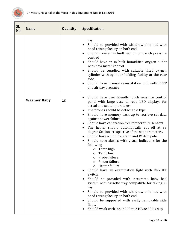

<span id="page-33-0"></span>

| Sl.<br>No. | <b>Name</b>        | Quantity | Specification                                                                                                                                                                                                                                                                                                                                                                                                                                                                                                                                                                                                                                                                                                                                                                                                                                                                                                                                                                                                                                                                                                        |
|------------|--------------------|----------|----------------------------------------------------------------------------------------------------------------------------------------------------------------------------------------------------------------------------------------------------------------------------------------------------------------------------------------------------------------------------------------------------------------------------------------------------------------------------------------------------------------------------------------------------------------------------------------------------------------------------------------------------------------------------------------------------------------------------------------------------------------------------------------------------------------------------------------------------------------------------------------------------------------------------------------------------------------------------------------------------------------------------------------------------------------------------------------------------------------------|
|            |                    |          | ray.<br>Should be provided with withdraw able bed with<br>head raising facility on both end.<br>Should have an in built suction unit with pressure<br>$\bullet$<br>control.<br>Should have an in built humidified oxygen outlet<br>$\bullet$<br>with flow meter control.<br>Should be supplied with suitable filled oxygen<br>$\bullet$<br>cylinder with cylinder holding facility at the rear<br>side.<br>Should have manual resuscitation unit with PEEP<br>$\bullet$<br>and airway pressure                                                                                                                                                                                                                                                                                                                                                                                                                                                                                                                                                                                                                       |
|            | <b>Warmer Baby</b> | 25       | Should have user friendly touch sensitive control<br>٠<br>panel with large easy to read LED displays for<br>actual and set temperatures.<br>The probes should be detachable type.<br>$\bullet$<br>Should have memory back up to retrieve set data<br>$\bullet$<br>against power failure<br>Should have calibration free temperature sensors.<br>$\bullet$<br>The heater should automatically cut off at 38<br>٠<br>degree Celsius irrespective of the set parameters.<br>Should have a monitor stand and IV drip pole.<br>٠<br>Should have alarms with visual indicators for the<br>$\bullet$<br>following<br>Temp high<br>Temp low<br>$\circ$<br>Probe failure<br>$\circ$<br>Power failure<br>Heater failure<br>$\Omega$<br>Should have an examination light with ON/OFF<br>switch.<br>Should be provided with integrated baby bed<br>system with cassette tray compatible for taking X-<br>ray.<br>Should be provided with withdraw able bed with<br>$\bullet$<br>head raising facility on both end.<br>Should be supported with easily removable side<br>flaps.<br>Should work with input 200 to 240Vac 50 Hz sup |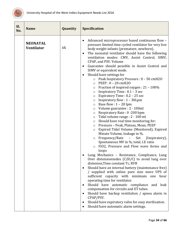

<span id="page-34-0"></span>

| Sl.<br>No. | <b>Name</b>                          | Quantity | Specification                                                                                                                                                                                                                                                                                                                                                                                                                                                                                                                                                                                                                                                                                                                                                                                                                                                                                                                                                                                                                                                                                                                                                                                                                                                                                                                                                                                                                                                                                                                                                                                                                                                                                                                                                                                                                                                     |
|------------|--------------------------------------|----------|-------------------------------------------------------------------------------------------------------------------------------------------------------------------------------------------------------------------------------------------------------------------------------------------------------------------------------------------------------------------------------------------------------------------------------------------------------------------------------------------------------------------------------------------------------------------------------------------------------------------------------------------------------------------------------------------------------------------------------------------------------------------------------------------------------------------------------------------------------------------------------------------------------------------------------------------------------------------------------------------------------------------------------------------------------------------------------------------------------------------------------------------------------------------------------------------------------------------------------------------------------------------------------------------------------------------------------------------------------------------------------------------------------------------------------------------------------------------------------------------------------------------------------------------------------------------------------------------------------------------------------------------------------------------------------------------------------------------------------------------------------------------------------------------------------------------------------------------------------------------|
|            | <b>NEONATAL</b><br><b>Ventilator</b> | 15       | Advanced microprocessor based continuous flow -<br>٠<br>pressure limited time cycled ventilator for very low<br>body weight infants (premature, newborn).<br>The neonatal ventilator should have the following<br>$\bullet$<br>ventilation modes: CMV, Assist Control, SIMV,<br>CPAP, and PSV. Volume<br>Guarantee should possible in Assist Control and<br>$\bullet$<br>SIMV or equivalent mode.<br>Should have settings for<br>$\bullet$<br>o Peak Inspiratory Pressure : 0 - 50 cmH2O<br>PEEP: 0 - 20 cmH2O<br>$\circ$<br>Fraction of inspired oxygen : 21 - 100%<br>$\circ$<br>Inspiratory Time : 0.1 - 3 sec<br>$\circ$<br>Expiratory Time: 0.2 - 25 sec<br>$\circ$<br>Inspiratory flow: 1 - 30Lpm<br>$\circ$<br>Base flow : $1 - 20$ lpm<br>$\circ$<br>Volume guarantee : 2 - 100ml<br>$\circ$<br>Respiratory Rate: 0 -200 bpm<br>$\circ$<br>Tidal volume range : 2 - 100 ml<br>O<br>Should have real time monitoring for:<br>$\circ$<br>Pressure - Peak, Plateau, Mean, PEEP<br>$\circ$<br>Expired Tidal Volume (Monitored), Expired<br>O<br>Minute Volume, leakage in %.<br>Frequency/Rate –<br>Set<br>(Inspiratory),<br>$\circ$<br>Spontaneous MV in %, total, I.E ratio<br>FiO2, Pressure and Flow wave forms and<br>$\circ$<br>loops<br>Lung Mechanics - Resistance, Compliance, Lung<br>Over distensionindex (C20/C) to avoid lung over<br>distenion, Time constant Tc, RVR<br>Should have an internal battery (maintenance free)<br>٠<br>/ supplied with online pure sine wave UPS of<br>sufficient capacity with minimum one hour<br>operating time for ventilator.<br>Should have automatic compliance and leak<br>٠<br>compensation for circuits and ET tubes.<br>Should have backup ventilation / apnea alarm in<br>$\bullet$<br>CPAP/PSV.<br>Should have expiratory valve for easy sterilisation.<br>٠<br>Should have automatic alarm settings. |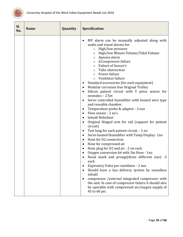

| Sl.<br>No. | <b>Name</b> | Quantity | <b>Specification</b>                                                                                                                                                                                                                                                                                                                                                                                                                                                                                                                                                                                                                                                                                                                                                                                                                                                                                                                                                                                                                                                                                                                                                                                                                                                                                                                                                                                                                                   |
|------------|-------------|----------|--------------------------------------------------------------------------------------------------------------------------------------------------------------------------------------------------------------------------------------------------------------------------------------------------------------------------------------------------------------------------------------------------------------------------------------------------------------------------------------------------------------------------------------------------------------------------------------------------------------------------------------------------------------------------------------------------------------------------------------------------------------------------------------------------------------------------------------------------------------------------------------------------------------------------------------------------------------------------------------------------------------------------------------------------------------------------------------------------------------------------------------------------------------------------------------------------------------------------------------------------------------------------------------------------------------------------------------------------------------------------------------------------------------------------------------------------------|
|            |             |          | MV alarm can be manually adjusted along with<br>٠<br>audio and visual alarms for:<br>High/low pressure<br>$\circ$<br>High/low Minute Volume/Tidal Volume<br>$\circ$<br>Apnoea alarm<br>$\circ$<br>d.Compressor failure<br>$\circ$<br><b>Failure of Sensor's</b><br>$\circ$<br>Tube obstruction<br>$\circ$<br>Power failure<br>$\circ$<br>Ventilator failure<br>$\circ$<br>Standard accessories (for each equipment)<br>٠<br>Modular corrosion free Original Trolley<br>$\bullet$<br>Silicon patient circuit with Y piece sensor for<br>neonates - 2 Set<br>Servo controlled humidifier with heated wire type<br>٠<br>and reusable chamber.<br>Temperature probe & adaptor - 2 nos<br>٠<br>Flow sensor - 2 no's<br><b>Inbuilt Nebuliser</b><br>٠<br>Original Hinged arm for rail (support for patient<br>circuit)<br>Test lung for each patient circuit. - 1 no<br>$\bullet$<br>Servo heated Humidifier with Temp Display-1no<br>$\bullet$<br>Hose for 02 connection<br>٠<br>Hose for compressed air<br>٠<br>Hose plug for O2 and air - 2 on each<br>٠<br>Oxygen conversion kit with 5m Hose - 1no<br>Nasal mask and prongs(three different size) -3<br>each<br>Expiratory Valve per ventilator - 2 nos<br>Should have a Gas delivery system by soundless<br>inbuilt<br>compressor / external integrated compressor with<br>the unit. In case of compressor failure it should also<br>be operable with compressed air/oxygen supply of<br>45 to 60 psi. |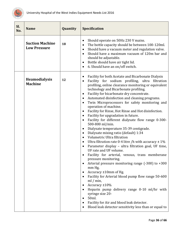

<span id="page-36-1"></span><span id="page-36-0"></span>

| SI.<br>No. | <b>Name</b>                                   | Quantity | Specification                                                                                                                                                                                                                                                                                                                                                                                                                                                                                                                                                                                                                                                                                                                                                                                                                                                                                                                                                                                                                                                                                                                                                                                                                                                                                                                                                                                    |
|------------|-----------------------------------------------|----------|--------------------------------------------------------------------------------------------------------------------------------------------------------------------------------------------------------------------------------------------------------------------------------------------------------------------------------------------------------------------------------------------------------------------------------------------------------------------------------------------------------------------------------------------------------------------------------------------------------------------------------------------------------------------------------------------------------------------------------------------------------------------------------------------------------------------------------------------------------------------------------------------------------------------------------------------------------------------------------------------------------------------------------------------------------------------------------------------------------------------------------------------------------------------------------------------------------------------------------------------------------------------------------------------------------------------------------------------------------------------------------------------------|
|            | <b>Suction Machine</b><br><b>Low Pressure</b> | 18       | Should operate on 50Hz 230 V mains.<br>٠<br>The bottle capacity should be between 100-120ml.<br>$\bullet$<br>Should have a vacuum meter and regulation valve.<br>$\bullet$<br>Should have a maximum vacuum of 120m bar and<br>$\bullet$<br>should be adjustable.<br>Bottle should have air tight lid.<br>$\bullet$<br>6. Should have an on/off switch.<br>$\bullet$                                                                                                                                                                                                                                                                                                                                                                                                                                                                                                                                                                                                                                                                                                                                                                                                                                                                                                                                                                                                                              |
|            | Heamodialysis<br><b>Machine</b>               | 12       | Facility for both Acetate and Bicarbonate Dialysis<br>٠<br>Facility for sodium profiling, ultra filtration<br>profiling, online clearance monitoring or equivalent<br>technology and Bicarbonate profiling.<br>Facility for bicarbonate dry concentrate.<br>$\bullet$<br>Automated disinfection and cleaning programs.<br>$\bullet$<br>Twin Microprocessors for safety monitoring and<br>operation of machine.<br>Facility for Rinse, Hot Rinse and Hot disinfection.<br>$\bullet$<br>Facility for upgradation in future.<br>٠<br>Facility for different dialysate flow range 0-300-<br>$\bullet$<br>500-800 ml/min.<br>Dialysate temperature 35-39 centigrade.<br>٠<br>Dialysate mixing ratio (default) 1:34<br>٠<br>Volumetric Ultra filtration<br>$\bullet$<br>Ultra filtration rate 0-4 litre /h with accuracy $\pm 1\%$<br>$\bullet$<br>Parameter display - ultra filtration goal, UF time,<br>UF rate and UF volume.<br>Facility for arterial, venous, trans memberane<br>pressure monitoring.<br>Arterial pressure monitoring range $(-300)$ to $+300$<br>mm Hg,<br>Accuracy ±10mm of Hg.<br>٠<br>Facility for Arterial blood pump flow range 50-600<br>$ml / min$ ,<br>Accuracy ±10%<br>$\bullet$<br>Heparin pump delivery range 0-10 ml/hr with<br>syringe size 20-<br>50ml.<br>٠<br>Facility for Air and blood leak detector.<br>Blood leak detector sensitivity less than or equal to |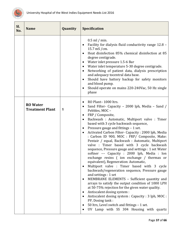

<span id="page-37-0"></span>

| Sl.<br>No. | <b>Name</b>                               | Quantity     | <b>Specification</b>                                                                                                                                                                                                                                                                                                                                                                                                                                                                                                                                                                                                                                                                                                                                                                                                                                                                                                                                                                                                                                                                                                                                                                                                                                             |
|------------|-------------------------------------------|--------------|------------------------------------------------------------------------------------------------------------------------------------------------------------------------------------------------------------------------------------------------------------------------------------------------------------------------------------------------------------------------------------------------------------------------------------------------------------------------------------------------------------------------------------------------------------------------------------------------------------------------------------------------------------------------------------------------------------------------------------------------------------------------------------------------------------------------------------------------------------------------------------------------------------------------------------------------------------------------------------------------------------------------------------------------------------------------------------------------------------------------------------------------------------------------------------------------------------------------------------------------------------------|
|            |                                           |              | $0.5$ ml / min.<br>Facility for dialysis fluid conductivity range 12.8 -<br>$\bullet$<br>15.7 mS / cm.<br>Heat disinfection 85% chemical disinfection at 85<br>$\bullet$<br>degree centigrade.<br>Water inlet pressure 1.5-6 Bar<br>$\bullet$<br>Water inlet temperature 5-30 degree centigrade.<br>٠<br>Networking of patient data, dialysis prescription<br>$\bullet$<br>and adequacy tocentral data base.<br>Should have battery backup for safety monitors<br>$\bullet$<br>and blood pump.<br>Should operate on mains 220-240Vac, 50 Hz single<br>٠<br>phase                                                                                                                                                                                                                                                                                                                                                                                                                                                                                                                                                                                                                                                                                                 |
|            | <b>RO</b> Water<br><b>Treatment Plant</b> | $\mathbf{1}$ | RO Plant-1000 ltrs.<br>$\bullet$<br>Sand Filter- Capacity - 2000 lph, Media - Sand /<br>$\bullet$<br>Pebbles, MOC -<br>FRP / Composite,<br>$\bullet$<br>Backwash : Automatic, Multiport valve : Timer<br>$\bullet$<br>based with 3 cycle backwash sequence,<br>Pressure gauge and fittings - 1 set.<br>٠<br>Activated Carbon Filter- Capacity: 2000 lph, Media<br>$\bullet$<br>: Carbon ID 900, MOC : FRP/ Composite, Make:<br>Pentair / equal, Backwash : Automatic, Multiport<br>valve : Timer based with 3 cycle backwash<br>sequence, Pressure gauge and settings : 1 set Water<br>softner -- Capacity : 2000 lph, Media : Ion<br>exchange resins ( ion exchange / thermax or<br>equivalent), Regeneration: Automatic,<br>Multiport valve : Timer based with 3 cycle<br>$\bullet$<br>backwash/regeneration sequence, Pressure gauge<br>and settings : 1 set<br>MEMBRANE ELEMENTS - Sufficient quantity and<br>$\bullet$<br>arrays to satisfy the output condition of 1000 LPH<br>at 50-75% rejection for the given water quality.<br>Antiscalent dosing system :<br>٠<br>Antiscalent dosing system : Capacity : 3 lph, MOC :<br>$\bullet$<br>PP, Dosing tank:<br>50 ltrs, Level switch and fittings - 1 set.<br>٠<br>UV Lamp with SS 304 Housing with quartz |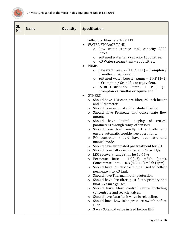

| Sl.<br>No. | <b>Name</b> | Quantity | <b>Specification</b>                                                                                                                                                                                                                                                                                                                                                                                                                                                                                                                                                                                                                                                                                                                                                                                                                                                                                                                                                                                                                                                                                                                                                                                                                                                                                                                                                                                                                                                                                                                                                                                                                                                                                                                                                                                                       |
|------------|-------------|----------|----------------------------------------------------------------------------------------------------------------------------------------------------------------------------------------------------------------------------------------------------------------------------------------------------------------------------------------------------------------------------------------------------------------------------------------------------------------------------------------------------------------------------------------------------------------------------------------------------------------------------------------------------------------------------------------------------------------------------------------------------------------------------------------------------------------------------------------------------------------------------------------------------------------------------------------------------------------------------------------------------------------------------------------------------------------------------------------------------------------------------------------------------------------------------------------------------------------------------------------------------------------------------------------------------------------------------------------------------------------------------------------------------------------------------------------------------------------------------------------------------------------------------------------------------------------------------------------------------------------------------------------------------------------------------------------------------------------------------------------------------------------------------------------------------------------------------|
|            |             |          | reflectors. Flow rate 1000 LPH<br><b>WATER STORAGE TANK</b><br>Raw water storage tank capacity 2000<br>$\circ$<br>Litres.<br>Softened water tank capacity 1000 Litres.<br>$\circ$<br>o RO Water storage tank - 2000 Litres.<br>PUMP.<br>$\bullet$<br>Raw water pump $-1$ HP $(1+1)$ – Crompton /<br>$\circ$<br>Grundfos or equivalent.<br>Softened water booster pump $-1$ HP $(1+1)$<br>$\circ$<br>- Crompton / Grundfos or equivalent.<br>SS RO Distribution Pump - 1 HP (1+1) -<br>$\circ$<br>Crompton / Grundfos or equivalent.<br><b>OTHERS</b><br>Should have 1 Micron pre-filter, 20 inch height<br>$\circ$<br>and 4" diameter.<br>Should have automatic inlet shut-off valve<br>$\circ$<br>Should have Permeate and Concentrate flow<br>$\circ$<br>meters.<br>Should<br>Digital<br>have<br>display of<br>critical<br>$\circ$<br>parameters through range of sensors.<br>Should have User friendly RO controller and<br>$\circ$<br>ensure automatic trouble free operations.<br>RO controller should have automatic and<br>$\circ$<br>manual mode.<br>Should have automated pre treatment for RO.<br>$\circ$<br>Should have Salt rejection around 96 - 98%.<br>$\circ$<br>i.RO recovery range shall be 50-75%<br>$\circ$<br>Permeate Rate : $1.0(4.5)$ m3/h<br>$(gpm)$ ,<br>O<br>Concentrate Rate: 1-0.3 (4.5-1.5) m3/h (gpm)<br>Should have P.E flexible tubing used to collect<br>O<br>permeate into RO tank.<br>Should have Thermal motor protection.<br>O<br>Should have Pre-filter, post filter, primary and<br>O<br>final pressure gauges.<br>Should have Flow control centre including<br>O<br>concentrate and recycle valves.<br>Should have Auto flush valve in reject line.<br>$\circ$<br>Should have Low inlet pressure switch before<br>O<br><b>HPP</b><br>3 way Solenoid valve in feed before HPP<br>O |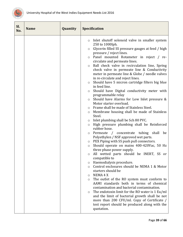

| Sl.<br>No. | <b>Name</b> | Quantity | <b>Specification</b>                                                                                                                                                                                                                                                                                                                                                                                                                                                                                                                                                                                                                                                                                                                                                                                                                                                                                                                                                                                                                                                                                                                                                                                                                                                                                                                                                                                                                                                                                                                                                                                                                                                                                                                                                                                              |
|------------|-------------|----------|-------------------------------------------------------------------------------------------------------------------------------------------------------------------------------------------------------------------------------------------------------------------------------------------------------------------------------------------------------------------------------------------------------------------------------------------------------------------------------------------------------------------------------------------------------------------------------------------------------------------------------------------------------------------------------------------------------------------------------------------------------------------------------------------------------------------------------------------------------------------------------------------------------------------------------------------------------------------------------------------------------------------------------------------------------------------------------------------------------------------------------------------------------------------------------------------------------------------------------------------------------------------------------------------------------------------------------------------------------------------------------------------------------------------------------------------------------------------------------------------------------------------------------------------------------------------------------------------------------------------------------------------------------------------------------------------------------------------------------------------------------------------------------------------------------------------|
|            |             |          | Inlet shutoff solenoid valve in smaller system<br>$\circ$<br>250 to 1000lph.<br>Glycerin filled SS pressure gauges at feed / high<br>$\circ$<br>pressure / reject lines.<br>Panel mounted Rotameter in reject / re-<br>circulate and permeate lines.<br>Ball check valve in recirculation line, Spring<br>$\circ$<br>check valve in permeate line & Conductivity<br>meter in permeate line & Globe / needle valves<br>in re-circulate and reject lines.<br>Should have 5 micron cartridge filters big blue<br>$\circ$<br>in feed line.<br>Should have Digital conductivity meter with<br>$\circ$<br>programmable relay<br>Should have Alarms for Low Inlet pressure &<br>$\circ$<br>Motor starter overload.<br>Frame shall be made of Stainless Steel.<br>$\circ$<br>Membrane housing shall be made of Stainless<br>$\circ$<br>Steel.<br>Inlet plumbing shall be Sch 80 PVC.<br>$\circ$<br>High pressure plumbing shall be Reinforced<br>$\circ$<br>rubber hose.<br>Permeate / concentrate tubing shall be<br>$\circ$<br>Polyethylen / NSF approved wet parts.<br>PEX Piping with SS push pull connectors.<br>$\circ$<br>Should operate on mains 400-420Vac, 50 Hz<br>$\circ$<br>three phase power supply.<br>All wetted parts should be INERT, SS or<br>$\circ$<br>compatible to<br>Haemodialysis procedure.<br>$\circ$<br>Control enclosures should be NEMA 1 & Motor<br>$\circ$<br>starters should be<br>NEMA 4 X<br>$\circ$<br>The outlet of the RO system must conform to<br>$\circ$<br>AAMI standards both in terms of chemical<br>contamination and bacterial contamination.<br>The endotoxin limit for the RO water is 1 Eu/ml<br>$\circ$<br>and the limit of bacterial growth shall be not<br>more than 200 CFU/ml. Copy of Certificate /<br>test report should be produced along with the<br>quotation. |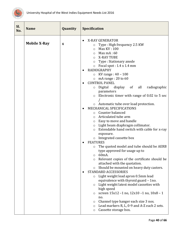

<span id="page-40-0"></span>

| Sl.<br>No. | <b>Name</b>         | Quantity | <b>Specification</b>                                                                                                                                                                                                                                                                                                                                                                                                                                                                                                                                                                                                                                                                                                                                                                                                                                                                                                                                                                                                                                                                                                                                                                                                                                                                                                                                                                                                                                                             |
|------------|---------------------|----------|----------------------------------------------------------------------------------------------------------------------------------------------------------------------------------------------------------------------------------------------------------------------------------------------------------------------------------------------------------------------------------------------------------------------------------------------------------------------------------------------------------------------------------------------------------------------------------------------------------------------------------------------------------------------------------------------------------------------------------------------------------------------------------------------------------------------------------------------------------------------------------------------------------------------------------------------------------------------------------------------------------------------------------------------------------------------------------------------------------------------------------------------------------------------------------------------------------------------------------------------------------------------------------------------------------------------------------------------------------------------------------------------------------------------------------------------------------------------------------|
|            | <b>Mobile X-Ray</b> | 4        | <b>X-RAY GENERATOR</b><br>$\bullet$<br>Type: High frequency 2.5 KW<br>$\circ$<br>Max KV: 100<br>$\circ$<br>Max $mA:60$<br>$\circ$<br>X-RAY TUBE<br>$\circ$<br>Type : Stationary anode<br>O<br>○ Focal spot : 1.4 x 1.4 mm<br><b>RADIOGRAPHY</b><br>KV range : 40 – 100<br>$\circ$<br>o mA range : $20$ to $60$<br><b>CONTROL PANEL</b><br>display of all<br>radiographic<br>Digital<br>O<br>parameters<br>Electronic timer with range of $0.02$ to $5$ sec<br>$\circ$<br>o Automatic tube over load protection.<br>MECHANICAL SPECIFICATIONS<br>$\bullet$<br>Counter balanced<br>$\circ$<br>Articulated tube arm<br>O<br>Easy to move and handle<br>O<br>$\circ$ Light beam diaphragm collimator.<br>Extendable hand switch with cable for x-ray<br>O<br>exposure.<br>o Integrated cassette box<br><b>FEATURES</b><br>$\bullet$<br>The quoted model and tube should be AERB<br>$\circ$<br>type approved for usage up to<br>60 <sub>m</sub> A.<br>$\circ$<br>Relevant copies of the certificate should be<br>O<br>attached with the quotation.<br>Should be mounted on heavy duty casters.<br>$\circ$<br><b>STANDARD ACCESSORIES</b><br>Light weight lead apron 0.5mm lead<br>O<br>equivalence with thyroid guard - 1no.<br>Light weight latest model cassettes with<br>$\circ$<br>high speed<br>screen 15x12-1 no, 12x10-1 no, 10x8-1<br>O<br>no.<br>Channel type hanger each size 3 nos.<br>O<br>Lead markers R, L, 0-9 and A-Z each 2 sets.<br>O<br>Cassette storage box.<br>O |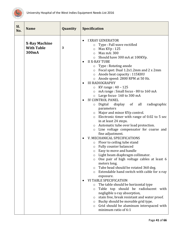

<span id="page-41-0"></span>

| Sl.<br>No. | <b>Name</b>                                        | Quantity | <b>Specification</b>                                                                                                                                                                                                                                                                                                                                                                                                                                                                                                                                                                                                                                                                                                                                                                                                                                                                                                                                                                                                                                                                                                                                                                                                                                                                                                                                                                                                                                                                                                                                              |
|------------|----------------------------------------------------|----------|-------------------------------------------------------------------------------------------------------------------------------------------------------------------------------------------------------------------------------------------------------------------------------------------------------------------------------------------------------------------------------------------------------------------------------------------------------------------------------------------------------------------------------------------------------------------------------------------------------------------------------------------------------------------------------------------------------------------------------------------------------------------------------------------------------------------------------------------------------------------------------------------------------------------------------------------------------------------------------------------------------------------------------------------------------------------------------------------------------------------------------------------------------------------------------------------------------------------------------------------------------------------------------------------------------------------------------------------------------------------------------------------------------------------------------------------------------------------------------------------------------------------------------------------------------------------|
|            | <b>X-Ray Machine</b><br><b>With Table</b><br>300mA | 3        | <b>I XRAY GENERATOR</b><br>Type : Full wave rectified<br>$\circ$<br>Max KVp: 125<br>$\circ$<br>Max mA: 300<br>$\circ$<br>o Should have 300 mA at 100KVp.<br><b>II X-RAY TUBE</b><br>Type: Rotating anode<br>O<br>o Focal spot: Dual 1.2x1.2mm and 2 x 2mm<br>Anode heat capacity: 115KHU<br>$\circ$<br>o Anode speed: 2800 RPM at 50 Hz.<br><b>III RADIOGRAPHY</b><br>KV range: 40 - 125<br>O<br>mA range: Small focus - 80 to 160 mA<br>$\circ$<br>o Large focus-160 to 300 mA<br><b>IV CONTROL PANEL</b><br>Digital display of all<br>radiographic<br>O<br>parameters<br>o Major and minor KVp control.<br>$\circ$ Electronic timer with range of 0.02 to 5 sec<br>in at least 24 steps.<br>o Automatic tube over load protection.<br>Line voltage compensator for coarse and<br>$\circ$<br>fine adjustment.<br>V. MECHANICAL SPECIFICATIONS<br>Floor to ceiling tube stand<br>O<br>Fully counter balanced<br>$\circ$<br><b>Easy to move and handle</b><br>Light beam diaphragm collimator.<br>$\circ$<br>One pair of high voltage cables at least 6<br>meters long.<br>Tube head should be rotated 360 deg.<br>$\circ$<br>Extendable hand switch with cable for x-ray<br>$\circ$<br>exposure.<br><b>VI TABLE SPECIFICATION</b><br>The table should be horizontal type<br>$\circ$<br>Table top should be radiolucent with<br>$\circ$<br>negligible x-ray absorption,<br>stain free, break resistant and water proof.<br>$\circ$<br>Bucky should be movable grid type.<br>$\circ$<br>Grid should be aluminum interspaced with<br>$\circ$<br>minimum ratio of 6:1 |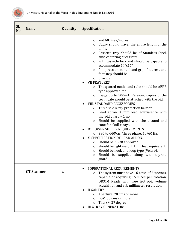

<span id="page-42-0"></span>

| Sl.<br>No. | <b>Name</b>       | Quantity | <b>Specification</b>                                                                                                                                                                                                                                                                                                                                                                                                                                                                                                                                                                                                                                                                                                                                                                                                                                                                                                                                                                                                                                                                                                                                                                    |
|------------|-------------------|----------|-----------------------------------------------------------------------------------------------------------------------------------------------------------------------------------------------------------------------------------------------------------------------------------------------------------------------------------------------------------------------------------------------------------------------------------------------------------------------------------------------------------------------------------------------------------------------------------------------------------------------------------------------------------------------------------------------------------------------------------------------------------------------------------------------------------------------------------------------------------------------------------------------------------------------------------------------------------------------------------------------------------------------------------------------------------------------------------------------------------------------------------------------------------------------------------------|
|            |                   |          | and 60 lines/inches.<br>$\circ$<br>Bucky should travel the entire length of the<br>$\circ$<br>table.<br>Cassette tray should be of Stainless Steel,<br>$\circ$<br>auto centering of cassette<br>with cassette lock and should be capable to<br>$\circ$<br>accommodate 14"x17"<br>Compression band, hand grip, foot rest and<br>$\circ$<br>foot step should be<br>provided.<br>$\circ$<br><b>VII FEATURES</b><br>The quoted model and tube should be AERB<br>O<br>type approved for<br>usage up to 300mA. Relevant copies of the<br>$\circ$<br>certificate should be attached with the bid.<br><b>VIII. STANDARD ACCESSORIES</b><br>Three fold X-ray protection barrier.<br>O<br>Lead apron 0.5mm lead equivalence with<br>$\circ$<br>thyroid guard $-1$ no.<br>Should be supplied with chest stand and<br>$\circ$<br>cone for skull x-rays.<br>IX. POWER SUPPLY REQUIREMENTS<br>380 to 440Vac, Three phase, 50/60 Hz.<br>$\circ$<br>X. SPECIFICATION OF LEAD APRON.<br>Should be AERB approved.<br>$\circ$<br>Should be light weight 1mm lead equivalent.<br>$\circ$<br>Should be hook and loop type (Velcro).<br>$\circ$<br>Should be supplied along with thyroid<br>$\circ$<br>guard. |
|            | <b>CT Scanner</b> | 4        | I OPERATIONAL REQUIREMENTS<br>The system must have 16 rows of detectors,<br>$\circ$<br>capable of acquiring 16 slices per rotation.<br>DICOM Ready with true isotropic volume<br>acquisition and sub millimeter resolution.<br><b>II GANTRY</b><br>Aperture: 70 cms or more<br>$\circ$<br>FOV: 50 cms or more<br>$\Omega$<br>Tilt: $+/- 27$ degree.<br>$\circ$<br><b>III X - RAY GENERATOR:</b>                                                                                                                                                                                                                                                                                                                                                                                                                                                                                                                                                                                                                                                                                                                                                                                         |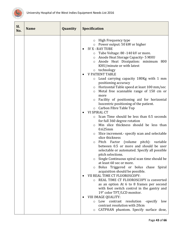

| Sl.<br>No. | <b>Name</b> | Quantity | <b>Specification</b>                                                                                                                                                                                                                                                                                                                                                                                                                                                                                                                                                                                                                                                                                                                                                                                                                                                                                                                                                                                                                                                                                                                                                                                                                                                                                                                                                                                                                                                                                                                                                                                                     |
|------------|-------------|----------|--------------------------------------------------------------------------------------------------------------------------------------------------------------------------------------------------------------------------------------------------------------------------------------------------------------------------------------------------------------------------------------------------------------------------------------------------------------------------------------------------------------------------------------------------------------------------------------------------------------------------------------------------------------------------------------------------------------------------------------------------------------------------------------------------------------------------------------------------------------------------------------------------------------------------------------------------------------------------------------------------------------------------------------------------------------------------------------------------------------------------------------------------------------------------------------------------------------------------------------------------------------------------------------------------------------------------------------------------------------------------------------------------------------------------------------------------------------------------------------------------------------------------------------------------------------------------------------------------------------------------|
|            |             |          | High Frequency type<br>$\circ$<br>o Power output: 50 kW or higher<br><b>IV X - RAY TUBE</b><br>Tube Voltage: 80 -140 kV or more.<br>$\circ$<br>Anode Heat Storage Capacity- 5 MHU<br>$\circ$<br>Anode Heat Dissipation: minimum 800<br>$\circ$<br>KHU/minute or with latest<br>o technology<br><b>V PATIENT TABLE</b><br>Load carrying capacity 180Kg with 1 mm<br>$\circ$<br>positioning accuracy<br>o Horizontal Table speed at least 100 mm/sec<br>Metal free scannable range of 150 cm or<br>$\circ$<br>more<br>Facility of positioning aid for horizontal<br>$\circ$<br>Isocentric positioning of the patient.<br>Carbon Fibre Table Top<br>$\circ$<br>VI SPIRAL CT<br>$\bullet$<br>Scan Time should be less than 0.5 seconds<br>$\circ$<br>for full 360 degree rotation<br>Min slice thickness should be less than<br>$\circ$<br>$0.625$ mm<br>Slice increment.- specify scan and selectable<br>O<br>slice thickness<br>Pitch Factor (volume pitch): variable<br>$\circ$<br>between 0.5 or more and should be user<br>selectable or automated. Specify all possible<br>pitch selections.<br>Single Continuous spiral scan time should be<br>at least 60 sec or more.<br>Bolus Triggered or bolus chase Spiral<br>acquisition should be possible.<br>VII REAL TIME CT FLUOROSCOPY:<br>REAL TIME CT FLUOROSCOPY is converted<br>as an option At 6 to 8 frames per second<br>with foot switch control in the gantry and<br>19" color TFT/LCD monitor.<br>VIII IMAGE QUALITY:<br>Low contrast<br>resolution -specify<br>low<br>$\circ$<br>contrast resolution with 20cm<br>CATPHAN phantom. Specify surface dose,<br>O |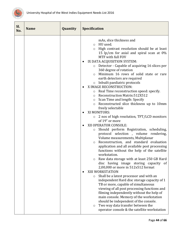

| Sl.<br>No. | <b>Name</b> | Quantity | <b>Specification</b>                                                                                                                                                                                                                                                                                                                                                                                                                                                                                                                                                                                                                                                                                                                                                                                                                                                                                                                                                                                                                                                                                                                                                                                                                                                                                                                                                                                                                                                                                                                                                                                                                                                                                                              |
|------------|-------------|----------|-----------------------------------------------------------------------------------------------------------------------------------------------------------------------------------------------------------------------------------------------------------------------------------------------------------------------------------------------------------------------------------------------------------------------------------------------------------------------------------------------------------------------------------------------------------------------------------------------------------------------------------------------------------------------------------------------------------------------------------------------------------------------------------------------------------------------------------------------------------------------------------------------------------------------------------------------------------------------------------------------------------------------------------------------------------------------------------------------------------------------------------------------------------------------------------------------------------------------------------------------------------------------------------------------------------------------------------------------------------------------------------------------------------------------------------------------------------------------------------------------------------------------------------------------------------------------------------------------------------------------------------------------------------------------------------------------------------------------------------|
|            |             |          | mAs, slice thickness and<br>HU used.<br>$\circ$<br>High contrast resolution should be at least<br>$\circ$<br>15 lp/cm for axial and spiral scan at $0\%$<br>MTF with full FOV<br>IX DATA ACQUISITION SYSTEM:<br>٠<br>Detector - Capable of acquiring 16 slices per<br>$\circ$<br>360 degree of rotation<br>Minimum 16 rows of solid state or rare<br>$\circ$<br>earth detectors are required<br>Inbuilt paediatric protocols<br>$\circ$<br>X IMAGE RECONSTRUCTION:<br>$\bullet$<br>Real Time reconstruction speed: specify.<br>$\circ$<br>Reconstruction Matrix:512X512<br>$\circ$<br>Scan Time and length: Specify<br>$\circ$<br>Reconstructed slice thickness up to 10mm<br>$\circ$<br>freely selectable<br>XI MONITORS:<br>2 nos of high resolution, TFT/LCD monitors<br>$\circ$<br>of 19" or more<br>XII OPERATOR CONSOLE:<br>Should perform Registration, scheduling,<br>$\circ$<br>protocol selection, volume rendering,<br>Volume measurements, Multiplanar<br>Reconstruction, and standard evaluation<br>$\circ$<br>application and all available post processing<br>functions without the help of the satellite<br>workstation.<br>Raw data storage with at least 250 GB Hard<br>$\circ$<br>disc having image storing capacity of<br>2,00,000 or more in 512x512 format<br>XIII WORKSTATION<br>Shall be a latest processor and with an<br>$\circ$<br>independent Hard disc storage capacity of 1<br>TB or more, capable of simultaneous<br>viewing of all post processing functions and<br>filming independently without the help of<br>main console. Memory of the workstation<br>should be independent of the console.<br>Two way data transfer between the<br>$\circ$<br>operator console & the satellite workstation |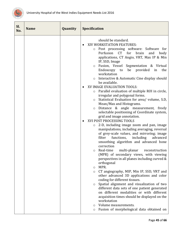

| SI.<br>No. | <b>Name</b> | Quantity | <b>Specification</b>                                                                                                                                                                                                                                                                                                                                                                                                                                                                                                                                                                                                                                                                                                                                                                                                                                                                                                                                                                                                                                                                                                                                                                                                                                                                                                                                                                                                                                                                                                                                                                                                                                                                                           |
|------------|-------------|----------|----------------------------------------------------------------------------------------------------------------------------------------------------------------------------------------------------------------------------------------------------------------------------------------------------------------------------------------------------------------------------------------------------------------------------------------------------------------------------------------------------------------------------------------------------------------------------------------------------------------------------------------------------------------------------------------------------------------------------------------------------------------------------------------------------------------------------------------------------------------------------------------------------------------------------------------------------------------------------------------------------------------------------------------------------------------------------------------------------------------------------------------------------------------------------------------------------------------------------------------------------------------------------------------------------------------------------------------------------------------------------------------------------------------------------------------------------------------------------------------------------------------------------------------------------------------------------------------------------------------------------------------------------------------------------------------------------------------|
|            |             |          | should be standard.<br>XIV WORKSTATION FEATURES:<br>Post processing software: Software for<br>$\circ$<br>Perfusion<br>CT <sup>1</sup><br>for<br>brain<br>and<br>body<br>applications, CT Angio, VRT, Max IP & Min<br>IP, SSD, Image<br>Fusion, Vessel Segmentation & Virtual<br>$\circ$<br>Endoscopy to<br>provided<br>be<br>in<br>the<br>workstation<br>Interactive & Automatic Cine display should<br>$\circ$<br>be available.<br>XV IMAGE EVALUATION TOOLS:<br>Parallel evaluation of multiple ROI in circle,<br>$\circ$<br>irregular and polygonal forms.<br>Statistical Evaluation for area/ volume, S.D,<br>$\circ$<br>Mean/Max and Histograms.<br>Distance & angle measurement, freely<br>$\circ$<br>selectable positioning of Coordinate system,<br>grid and image annotation.<br>XVI POST PROCESSING TOOLS<br>2-D, including image zoom and pan, image<br>$\circ$<br>manipulations, including averaging, reversal<br>of grey-scale values, and mirroring; image<br>functions,<br>including<br>filter<br>advanced<br>smoothing algorithm and advanced bone<br>correction<br>Real-time<br>multi-planar<br>reconstruction<br>$\circ$<br>(MPR) of secondary views, with viewing<br>perspectives in all planes including curved &<br>orthogonal<br>MPR.<br>$\circ$<br>CT angiography, MIP, Min IP, SSD, VRT and<br>$\circ$<br>other advanced 3D applications and color<br>coding for different tissues.<br>Spatial alignment and visualization of two<br>$\circ$<br>different data sets of one patient generated<br>on different modalities or with different<br>acquisition times should be displayed on the<br>workstation<br>Volume measurements.<br>O<br>Fusion of morphological data obtained on<br>O |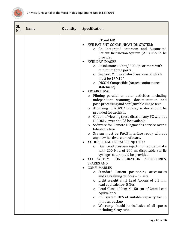

| Sl.<br>No. | <b>Name</b> | Quantity | <b>Specification</b>                                                                                                                                                                                                                                                                                                                                                                                                                                                                                                                                                                                                                                                                                                                                                                                                                                                                                                                                                                                                                                                                                                                                                                                                                                                                                                                                                                                                                                                                                                                                                                                                                                          |
|------------|-------------|----------|---------------------------------------------------------------------------------------------------------------------------------------------------------------------------------------------------------------------------------------------------------------------------------------------------------------------------------------------------------------------------------------------------------------------------------------------------------------------------------------------------------------------------------------------------------------------------------------------------------------------------------------------------------------------------------------------------------------------------------------------------------------------------------------------------------------------------------------------------------------------------------------------------------------------------------------------------------------------------------------------------------------------------------------------------------------------------------------------------------------------------------------------------------------------------------------------------------------------------------------------------------------------------------------------------------------------------------------------------------------------------------------------------------------------------------------------------------------------------------------------------------------------------------------------------------------------------------------------------------------------------------------------------------------|
|            |             |          | CT and MR<br>XVII PATIENT COMMUNICATION SYSTEM:<br>An integrated intercom and Automated<br>$\circ$<br>Patient Instruction System (API) should be<br>provided<br><b>XVIII DRY IMAGER</b><br>Resolution: 16 bits/ 500 dpi or more with<br>$\circ$<br>minimum three ports.<br>Support Multiple Film Sizes: one of which<br>$\circ$<br>must be 17"x14"<br>DICOM Compatible (Attach conformance<br>$\circ$<br>statement).<br>XIX ARCHIVAL<br>Filming parallel to other activities, including<br>O<br>independent scanning, documentation<br>and<br>post-processing and configurable image text.<br>Archiving: CD/DVD/ blueray writer should be<br>$\circ$<br>provided for archival.<br>Option of viewing these discs on any PC without<br>$\circ$<br>DICOM viewer should be available.<br>Software for Remote Diagnostics Service over a<br>$\circ$<br>telephone line<br>System must be PACS interface ready without<br>$\circ$<br>any new hardware or software.<br>XX DUAL HEAD PRESSURE INJECTOR<br>$\bullet$<br>Dual head pressure injector of reputed make<br>$\circ$<br>with 200 Nos. of 200 ml disposable sterile<br>syringes sets should be provided.<br>SYSTEM CONFIGURATION ACCESSORIES,<br>XXI<br><b>SPARES AND</b><br><b>CONSUMABLES</b><br>Standard Patient positioning accessories<br>$\circ$<br>and restraining devices - 02 sets<br>Light weight vinyl Lead Aprons of 0.5 mm<br>$\circ$<br>lead equivalence- 5 Nos<br>Lead Glass 100cm X 150 cm of 2mm Lead<br>$\circ$<br>equivalence<br>Full system UPS of suitable capacity for 30<br>$\circ$<br>minutes backup<br>Warranty should be inclusive of all spares<br>$\circ$<br>including X-ray tube. |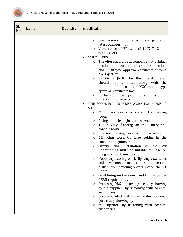

| Sl.<br>No. | <b>Name</b> | Quantity | <b>Specification</b>                                                                                                                                                                                                                                                                                                                                                                                                                                                                                                                                                                                                                                                                                                                                                                                                                                                                                                                                                                                                                                                                                                                                                                                                                                                                                                                                                                                                                                                                                                                                                                                                                                       |
|------------|-------------|----------|------------------------------------------------------------------------------------------------------------------------------------------------------------------------------------------------------------------------------------------------------------------------------------------------------------------------------------------------------------------------------------------------------------------------------------------------------------------------------------------------------------------------------------------------------------------------------------------------------------------------------------------------------------------------------------------------------------------------------------------------------------------------------------------------------------------------------------------------------------------------------------------------------------------------------------------------------------------------------------------------------------------------------------------------------------------------------------------------------------------------------------------------------------------------------------------------------------------------------------------------------------------------------------------------------------------------------------------------------------------------------------------------------------------------------------------------------------------------------------------------------------------------------------------------------------------------------------------------------------------------------------------------------------|
|            |             |          | One Personal Computer with laser printer of<br>$\circ$<br>latest configuration.<br>View boxes - LED type of 14"X17" 3 film<br>$\circ$<br>type - 3 sets<br>XXII OTHERS<br>The offer should be accompanied by original<br>O<br>product data sheet/brochure of the product<br>and AERB type approval certificate or valid<br>No Objection<br>Certificate (NOC) for the model offered<br>$\circ$<br>should be submitted along with the<br>quotation. In case of NOC valid type<br>approval certificate has<br>to be submitted prior to submission of<br>$\circ$<br>invoice for payments.<br>XXIII SCOPE FOR TURNKEY WORK FOR MODEL A<br>$\bullet$<br>& B<br>Minor civil works to remodel the existing<br>$\circ$<br>room.<br>Fixing of the lead glass on the wall.<br>O<br>Tile / Vinyl flooring on the gantry and<br>$\circ$<br>console room.<br>Interior finishing works with false ceiling.<br>$\circ$<br>5. Dadoing work till false ceiling in the<br>$\circ$<br>console and gantry room<br>and Installation<br>Supply<br>of the<br>Air<br>$\circ$<br>Conditioning units of suitable tonnage on<br>the gantry and console room.<br>Necessary cabling work, lightings, switches<br>$\circ$<br>sockets<br>electrical<br>and<br>various<br>and<br>distribution paneling works inside the CT<br>Room<br>Lead lining on the doors and frames as per<br>$\circ$<br>AERB requirments.<br>Obtaining DRS approval (necessary drawing<br>$\circ$<br>by the supplier) by liasioning with hospital<br>authorities.<br>Obtaining electrical inspectorates approval<br>$\circ$<br>(necessary drawing by<br>the supplier) by liasioning with hospital<br>O<br>authorities |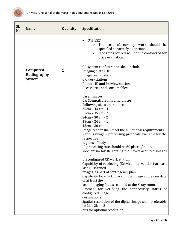

<span id="page-48-0"></span>

| SI.<br>No. | <b>Name</b>                              | Quantity         | Specification                                                                                                                                                                                                                                                                                                                                                                                                                                                                                                                                                                                                                                                                                                                                                                                                                                                                                                                                                                                                                                                                                                           |
|------------|------------------------------------------|------------------|-------------------------------------------------------------------------------------------------------------------------------------------------------------------------------------------------------------------------------------------------------------------------------------------------------------------------------------------------------------------------------------------------------------------------------------------------------------------------------------------------------------------------------------------------------------------------------------------------------------------------------------------------------------------------------------------------------------------------------------------------------------------------------------------------------------------------------------------------------------------------------------------------------------------------------------------------------------------------------------------------------------------------------------------------------------------------------------------------------------------------|
|            |                                          |                  | <b>OTHERS</b><br>The cost of turnkey work should be<br>$\circ$<br>specified separately as optional.<br>The rates offered will not be considered for<br>$\circ$<br>price evaluation.                                                                                                                                                                                                                                                                                                                                                                                                                                                                                                                                                                                                                                                                                                                                                                                                                                                                                                                                     |
|            | Computed<br>Radiography<br><b>System</b> | $\boldsymbol{2}$ | CR system configuration shall include:<br>Imaging plates (IP)<br>Image reader system<br><b>CR</b> workstations<br><b>Remote ID and Preview stations</b><br>Accessories and consumables<br>Laser Imager<br><b>CR Compatible imaging plates</b><br>Following sizes are required -<br>35cm x 43 cm - 4<br>35cm x 35 cm - 2<br>24cm x 30 cm - 2<br>18cm x 24 cm - 1<br>15cm x 30 cm<br>Image reader shall meet the Functional requirements :<br>Various image - processing protocols available for the<br>respective<br>regions of body<br>IP processing rate should be 60 plates / hour.<br>Mechanism for Re-routing the newly acquired images<br>to the<br>preconfigured CR work station.<br>Capability of retrieving (Service Intervention) at least<br>last 10 scanned<br>images, as part of contingency plan.<br>Capability for quick check of the image and exam data<br>of at least the<br>last 4 Imaging Plates scanned at the X-ray room.<br>Protocol for verifying the connectivity status of<br>configured image<br>destinations.<br>Spatial resolution of the digital image shall preferably<br>be 2k x 2k x 12 |
|            |                                          |                  | bits for optional resolution.                                                                                                                                                                                                                                                                                                                                                                                                                                                                                                                                                                                                                                                                                                                                                                                                                                                                                                                                                                                                                                                                                           |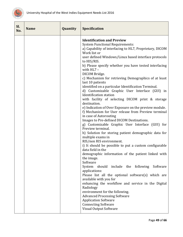

| SI.<br>No. | <b>Name</b> | Quantity | <b>Specification</b>                                                                                                                                                                                                                                                                                                                                                                                                                                                                                                                                                                                                                                                                                                                                                                                                                                                                                                                                                                                                                                                                                                                                                                                                                                                                                                                                                                                                                                                                                                                          |
|------------|-------------|----------|-----------------------------------------------------------------------------------------------------------------------------------------------------------------------------------------------------------------------------------------------------------------------------------------------------------------------------------------------------------------------------------------------------------------------------------------------------------------------------------------------------------------------------------------------------------------------------------------------------------------------------------------------------------------------------------------------------------------------------------------------------------------------------------------------------------------------------------------------------------------------------------------------------------------------------------------------------------------------------------------------------------------------------------------------------------------------------------------------------------------------------------------------------------------------------------------------------------------------------------------------------------------------------------------------------------------------------------------------------------------------------------------------------------------------------------------------------------------------------------------------------------------------------------------------|
|            |             |          | <b>Identification and Preview</b><br><b>System Functional Requirements:</b><br>a) Capability of interfacing to HL7, Proprietary, DICOM<br>Work list or<br>user defined Windows/Linux based interface protocols<br>to HIS/RIS.<br>b) Please specify whether you have tested interfacing<br>with HL7 -<br>DICOM Bridge.<br>c) Mechanism for retrieving Demographics of at least<br>last 10 patients<br>identified on a particular Identification Terminal.<br>d) Customizable Graphic User Interface (GUI) in<br><b>Identification</b> station<br>with facility of selecting DICOM print & storage<br>destination.<br>e) Indication of Over Exposure on the preview module.<br>f) Mechanism for User release from Preview terminal<br>in case of Autorouting<br>Images to Pre-defined DICOM Destinations.<br>g) Customizable Graphic User Interface (GUI) for<br>Preview terminal.<br>h) Solution for storing patient demographic data for<br>multiple exams in<br>RIS/non RIS environment.<br>i) It should be possible to put a custom configurable<br>data field in the<br>demographic information of the patient linked with<br>the image.<br>Software<br>System should include the following<br>Software<br>applications:<br>Please list all the optional software(s) which are<br>available with you for<br>enhancing the workflow and service in the Digital<br>Radiology<br>environment for the following.<br><b>Advanced Processing Software</b><br><b>Application Software</b><br><b>Connecting Software</b><br>Visual Output Software |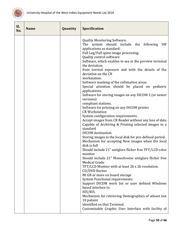

| SI.<br>No. | <b>Name</b> | Quantity | <b>Specification</b>                                                                                                                                                                                                                                                                                                                                                                                                                                                                                                                                                                                                                                                                                                                                                                                                                                                                                                                                                                                                                                                                                                                                                                                                                                                                                                                                                                                                                                                                                                                    |
|------------|-------------|----------|-----------------------------------------------------------------------------------------------------------------------------------------------------------------------------------------------------------------------------------------------------------------------------------------------------------------------------------------------------------------------------------------------------------------------------------------------------------------------------------------------------------------------------------------------------------------------------------------------------------------------------------------------------------------------------------------------------------------------------------------------------------------------------------------------------------------------------------------------------------------------------------------------------------------------------------------------------------------------------------------------------------------------------------------------------------------------------------------------------------------------------------------------------------------------------------------------------------------------------------------------------------------------------------------------------------------------------------------------------------------------------------------------------------------------------------------------------------------------------------------------------------------------------------------|
|            |             |          | <b>Quality Monitoring Software.</b><br>The system should include the following<br>SW<br>applications as standard:<br>Full Leg/Full spine image processing.<br>Quality control software<br>Software, which enables to see in the preview terminal<br>the deviation<br>from normal exposure and with the details of the<br>deviation on the CR<br>workstation.<br>Software masking of the collimation areas.<br>Special attention should be placed on pediatric<br>applications.<br>Software for storing images on any DICOM 3 (or newer<br>versions)<br>compliant stations.<br>Software for printing on any DICOM printer<br><b>CR Workstation</b><br>System configuration requirements:<br>Accept images from CR Reader without any loss of data<br>Capable of Archiving & Printing selected images to a<br>standard<br>DICOM destination.<br>Storing images in the local disk for pre-defined period.<br>Mechanism for accepting New images when the local<br>disk is full<br>Should include 21" antiglare flicker free TFT/LCD color<br>monitor<br>Should include 21" Monochrome antiglare flicker free<br><b>Medical Grade</b><br>TFT/LCD Monitor with at least 2k x 2k resolution.<br>CD/DVD Burner<br>80 GB or more on board storage<br><b>System Functional requirements:</b><br>Support DICOM work list or user defined Windows<br>based interface to<br>HIS/RIS.<br>Mechanism for retrieving Demographics of atleast last<br>10 patient<br>identified on that Terminal.<br>Customizable Graphic User Interface with facility of |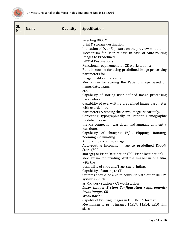

| Sl.<br>No. | <b>Name</b> | Quantity | <b>Specification</b>                                                                                                                                                                                                                                                                                                                                                                                                                                                                                                                                                                                                                                                                                                                                                                                                                                                                                                                                                                                                                                                                                                                                                                                                                                                                                                                                                                                                                                                                                                                                 |
|------------|-------------|----------|------------------------------------------------------------------------------------------------------------------------------------------------------------------------------------------------------------------------------------------------------------------------------------------------------------------------------------------------------------------------------------------------------------------------------------------------------------------------------------------------------------------------------------------------------------------------------------------------------------------------------------------------------------------------------------------------------------------------------------------------------------------------------------------------------------------------------------------------------------------------------------------------------------------------------------------------------------------------------------------------------------------------------------------------------------------------------------------------------------------------------------------------------------------------------------------------------------------------------------------------------------------------------------------------------------------------------------------------------------------------------------------------------------------------------------------------------------------------------------------------------------------------------------------------------|
|            |             |          | selecting DICOM<br>print & storage destination.<br>Indication of Over Exposure on the preview module<br>Mechanism for User release in case of Auto-routing<br><b>Images to Predefined</b><br><b>DICOM Destinations.</b><br>Functional requirement for CR workstations:<br>Built in routine for using predefined image processing<br>parameters for<br>image quality enhancement.<br>Mechanism for storing the Patient image based on<br>name, date, exam,<br>etc.<br>Capability of storing user defined image processing<br>parameters.<br>Capability of overwriting predefined image parameter<br>with userdefined<br>parameters & storing these two images separately.<br>Correcting typographically in Patient Demographic<br>module, in case<br>the RIS connection was down and annually data entry<br>was done.<br>Capability of changing W/1, Flipping, Rotating,<br>Zooming, Collimating<br>Annotating incoming image.<br>Auto-routing incoming image to predefined DICOM<br>Store (SCP<br>storage) or Print Destination (SCP Print Destination)<br>Mechanism for printing Multiple Images in one film,<br>with the<br>possibility of slide and True Size printing.<br>Capability of storing to CD<br>Systems should be able to converse with other DICOM<br>systems - such<br>as MR work station / CT workstation.<br><b>Laser Imager System Configuration requirements:</b><br><b>Print Images CR</b><br><b>Workstation</b><br>Capable of Printing Images in DICOM 3.9 format<br>Mechanism to print images 14x17, 11x14, 8x10 film<br>sizes |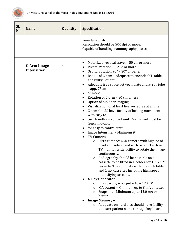

<span id="page-52-0"></span>

| Sl.<br>No. | <b>Name</b>                              | Quantity     | <b>Specification</b>                                                                                                                                                                                                                                                                                                                                                                                                                                                                                                                                                                                                                                                                                                                                                                                                                                                                                                                                                                                                                                                                                                                                                                                                                                                                                                                                                                                                                                                                                                      |
|------------|------------------------------------------|--------------|---------------------------------------------------------------------------------------------------------------------------------------------------------------------------------------------------------------------------------------------------------------------------------------------------------------------------------------------------------------------------------------------------------------------------------------------------------------------------------------------------------------------------------------------------------------------------------------------------------------------------------------------------------------------------------------------------------------------------------------------------------------------------------------------------------------------------------------------------------------------------------------------------------------------------------------------------------------------------------------------------------------------------------------------------------------------------------------------------------------------------------------------------------------------------------------------------------------------------------------------------------------------------------------------------------------------------------------------------------------------------------------------------------------------------------------------------------------------------------------------------------------------------|
|            |                                          |              | simultaneously.<br>Resolution should be 500 dpi or more.<br>Capable of handling mammography plates                                                                                                                                                                                                                                                                                                                                                                                                                                                                                                                                                                                                                                                                                                                                                                                                                                                                                                                                                                                                                                                                                                                                                                                                                                                                                                                                                                                                                        |
|            | <b>C-Arm Image</b><br><b>Intensifier</b> | $\mathbf{1}$ | Motorized vertical travel - 50 cm or more<br>٠<br>Pivotal rotation - $12.5^{\circ}$ or more<br>$\bullet$<br>Orbital rotation $90^0$ – $30^0$ or belter<br>$\bullet$<br>Radius of C-arm - adequate to encircle O.T. table<br>$\bullet$<br>and bulky patient<br>Adequate free space between plate and x-ray tube<br>٠<br>$-$ app. 75 $cm$<br>or more<br>$\bullet$<br>Rotation of C-arm - 80 cm or less<br>$\bullet$<br>Option of biplanar imaging<br>$\bullet$<br>Visualization of at least five vertebrae at a time<br>C-arm should have facility of locking movement<br>$\bullet$<br>with easy to<br>turn handle on control unit. Rear wheel must be<br>$\bullet$<br>freely movable<br>for easy to control unit.<br>$\bullet$<br>Image Intensifier - Minimum 9"<br>$\bullet$<br>TV Camera -<br>Ultra compact CCD camera with high no of<br>$\circ$<br>pixel and video band with two flicker free<br>TV monitor with facility to rotate the image<br>continuously.<br>Radiography should be possible on a<br>$\circ$<br>cassette to be fitted in a holder for 10" x 12"<br>cassette. The complete with one such folder<br>and 1 no. cassettes including high speed<br>intensifying screens.<br><b>X-Ray Generator -</b><br>Fluoroscopy - output - 40 - 120 KV<br>$\circ$<br>MA Output – Minimum up to 8 mA or letter<br>$\circ$<br>Snapshot - Minimum up to 12.0 mA or<br>$\circ$<br>better<br><b>Image Memory -</b><br>Adequate on hard disc should have facility<br>$\circ$<br>to insert patient name through key board. |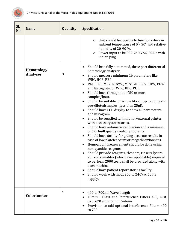

<span id="page-53-1"></span><span id="page-53-0"></span>

| Sl.<br>No. | <b>Name</b>                   | Quantity | <b>Specification</b>                                                                                                                                                                                                                                                                                                                                                                                                                                                                                                                                                                                                                                                                                                                                                                                                                                                                                                                                                                                                                                                                                                                                                                                                                                 |
|------------|-------------------------------|----------|------------------------------------------------------------------------------------------------------------------------------------------------------------------------------------------------------------------------------------------------------------------------------------------------------------------------------------------------------------------------------------------------------------------------------------------------------------------------------------------------------------------------------------------------------------------------------------------------------------------------------------------------------------------------------------------------------------------------------------------------------------------------------------------------------------------------------------------------------------------------------------------------------------------------------------------------------------------------------------------------------------------------------------------------------------------------------------------------------------------------------------------------------------------------------------------------------------------------------------------------------|
|            |                               |          | Unit should be capable to function/store in<br>$\circ$<br>ambient temperature of $0^0$ - 50 <sup>0</sup> and relative<br>humidity of 20-90 %.<br>Power input to be 220-240 VAC, 50 Hz with<br>$\circ$<br>Indian plug.                                                                                                                                                                                                                                                                                                                                                                                                                                                                                                                                                                                                                                                                                                                                                                                                                                                                                                                                                                                                                                |
|            | <b>Hematology</b><br>Analyser | 3        | Should be a fully automated, three part differential<br>$\bullet$<br>hematology analyzer.<br>Should measure minimum 16 parameters like<br>٠<br>WBC, HGB, RBC,<br>PLT, HCT, MCV, RDW%, MPV, MCHC%, RDW, PDW<br>$\bullet$<br>and histogram for WBC, RBC, PLT.<br>Should have throughput of 50 or more<br>$\bullet$<br>samples/hour.<br>Should be suitable for whole blood (up to 50µl) and<br>$\bullet$<br>pre-dilutedsamples (less than 25µl).<br>Should have LCD display to show all parameters<br>$\bullet$<br>and histogram.<br>Should be supplied with inbuilt/external printer<br>$\bullet$<br>with necessary accessories.<br>Should have automatic calibration and a minimum<br>$\bullet$<br>of 6 in built quality control programs.<br>Should have facility for giving accurate results in<br>$\bullet$<br>case of low platelet count or megathrombocytes.<br>Hemoglobin measurement should be done using<br>$\bullet$<br>non-cyanide reagents.<br>Should provide reagents, cleaners, rinsers, lysers<br>and consumables (which ever applicable) required<br>to perform 2000 tests shall be provided along with<br>each machine.<br>Should have patient report storing facility.<br>٠<br>Should work with input 200 to 240Vac 50 Hz<br>supply. |
|            | Colorimeter                   | 1        | 400 to 700nm Wave Length<br>٠<br>Filters - Glass and Interference Filters 420, 470,<br>$\bullet$<br>520, 620 and 660nm, 546nm.<br>Provision to add optional interference Filters 400<br>٠<br>to 700                                                                                                                                                                                                                                                                                                                                                                                                                                                                                                                                                                                                                                                                                                                                                                                                                                                                                                                                                                                                                                                  |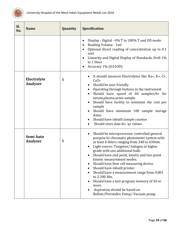

<span id="page-54-1"></span><span id="page-54-0"></span>

| Sl.<br>No. | <b>Name</b>                  | Quantity | Specification                                                                                                                                                                                                                                                                                                                                                                                                                                                                                                                                                                      |
|------------|------------------------------|----------|------------------------------------------------------------------------------------------------------------------------------------------------------------------------------------------------------------------------------------------------------------------------------------------------------------------------------------------------------------------------------------------------------------------------------------------------------------------------------------------------------------------------------------------------------------------------------------|
|            |                              |          | Display - Digital - 0% T to 100% T and OD mode<br>٠<br>Reading Volume - 1ml<br>Optional direct reading of concentration up to 0.1<br>unit<br>Linearity and Digital Display of Standards, Drift 1%<br>$\bullet$<br>in 1 Hour<br>Accuracy 1% (0.010D)                                                                                                                                                                                                                                                                                                                                |
|            | Electrolyte<br>Analyzer      | 5        | It should measure Electrolytes like Na+, K+, Cl-,<br>$Ca2+$<br>Should be user friendly<br>Operating through buttons in the instrument<br>Should have speed of 60 samples/hr for<br>serum, plasma, urine sample<br>Should have facility to minimize the cost per<br>sample<br>Should have minimum 100 sample storage<br>datas<br>Should have inbuilt sample counter<br>Should store data for 'qc values                                                                                                                                                                             |
|            | Semi Auto<br><b>Analyser</b> | 5        | Should be microprocessor controlled general<br>purpose bi-chromatic photometer system with<br>at least 6 filters ranging from 340 to 630nm.<br>Light source: Tungsten/halogen or higher<br>grade with one additional bulb.<br>Should have end point, kinetic and two point<br>kinetic measurement modes.<br>Should have flow cell measuring device.<br>Should have inbuilt printer.<br>Should have a measurement range from 0.001<br>to 2.300 Abs.<br>Should have a test program memory of 50 or<br>more.<br>Aspiration should be based on<br>Bellow/Peristaltic Pump/Vacuum pump. |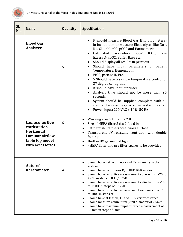

<span id="page-55-2"></span><span id="page-55-1"></span><span id="page-55-0"></span>

| SI.<br>No. | <b>Name</b>                                                                                                            | <b>Quantity</b> | <b>Specification</b>                                                                                                                                                                                                                                                                                                                                                                                                                                                                                                                                                                                                                                                                                  |
|------------|------------------------------------------------------------------------------------------------------------------------|-----------------|-------------------------------------------------------------------------------------------------------------------------------------------------------------------------------------------------------------------------------------------------------------------------------------------------------------------------------------------------------------------------------------------------------------------------------------------------------------------------------------------------------------------------------------------------------------------------------------------------------------------------------------------------------------------------------------------------------|
|            | <b>Blood Gas</b><br>Analyzer                                                                                           | 5               | It should measure Blood Gas (full parameters)<br>in its addition to measure Electrolytes like Na+,<br>K+, Cl-, pH, pO2, pCO2 and Haematocrit.<br>Calculated parameters: TCO2, HCO3, Base<br>$\bullet$<br>Excess A-aDO2, Buffer Base etc.<br>Should display all results in print out.<br>Should have input parameters of patient<br>Temperature, Hemoglobin<br>FIO2, patient ID Etc.<br>• 5 Should have a sample temperature control of<br>37 degree centigrade.<br>It should have inbuilt printer.<br>Analysis time should not be more than 90<br>seconds.<br>System should be supplied complete with all<br>standard accessories, electrodes & start up kits.<br>Power input: 220 VAC + 10%, 50 Hz   |
|            | Laminar airflow<br>workstation -<br><b>Horizontal</b><br><b>Laminar airflow</b><br>table top model<br>with accessories | 5               | Working area 3 ft x 2 ft x 2 ft<br>$\bullet$<br>Size of HEPA filter 3 ft x 2 ft x 6 in<br>$\bullet$<br>Satin finish Stainless Steel work surface<br>$\bullet$<br>Transparent UV resistant front door with double<br>$\bullet$<br>folding<br>Built in UV germicidal light<br>$\bullet$<br>- HEPA filter and pre filter spares to be provided                                                                                                                                                                                                                                                                                                                                                           |
|            | <b>Autoref</b><br><b>Keratometer</b>                                                                                   | $\mathbf{2}$    | Should have Refractometry and Keratometry in the<br>$\bullet$<br>system.<br>Should have continuous K/R, REF, KER modes.<br>$\bullet$<br>Should have refractive measurement sphere from -25 to<br>$\bullet$<br>+22D in steps of 0.12/0.25D.<br>Should have refractive measurement cylinder from -10<br>$\bullet$<br>to +10D in steps of $0.12/0.25D$ .<br>Should have refractive measurement axis angle from 1<br>$\bullet$<br>to 180 <sup>o</sup> in steps of $1o$<br>Should have at least 0, 12 and 13.5 vertex distance.<br>$\bullet$<br>Should measure a minimum pupil diameter of 2.5mm.<br>$\bullet$<br>Should have maximum pupil distance measurement of<br>$\bullet$<br>85 mm in steps of 1mm. |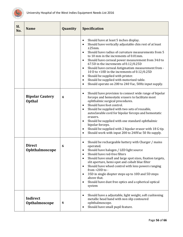

<span id="page-56-2"></span><span id="page-56-1"></span><span id="page-56-0"></span>

| Sl.<br>No. | <b>Name</b>                             | Quantity                | <b>Specification</b>                                                                                                                                                                                                                                                                                                                                                                                                                                                                                                                                                                                                                                             |
|------------|-----------------------------------------|-------------------------|------------------------------------------------------------------------------------------------------------------------------------------------------------------------------------------------------------------------------------------------------------------------------------------------------------------------------------------------------------------------------------------------------------------------------------------------------------------------------------------------------------------------------------------------------------------------------------------------------------------------------------------------------------------|
|            |                                         |                         | Should have at least 5 inches display.<br>$\bullet$<br>Should have vertically adjustable chin rest of at least<br>$\bullet$<br>±25mm.<br>Should have radius of curvature measurements from 5<br>$\bullet$<br>to 10 mm in the increments of 0.01mm.<br>Should have corneal power measurement from 34.0 to<br>$\bullet$<br>67.5D in the increments of 0.12/0.25D<br>Should have corneal Astigmatism measurement from -<br>$\bullet$<br>10 D to +10D in the increments of 0.12/0.25D<br>Should be supplied with printer.<br>$\bullet$<br>Should be supplied with motorized table.<br>$\bullet$<br>Should operate on 200 to 240 Vac, 50Hz input supply.<br>$\bullet$ |
|            | <b>Bipolar Cautery</b><br><b>Opthal</b> | $\overline{\mathbf{4}}$ | Should have provision to connect wide range of bipolar<br>$\bullet$<br>forceps and hemostatic erasers to facilitate most<br>ophthalmic surgical procedures.<br>Should have foot control.<br>$\bullet$<br>Should be supplied with two sets of reusable,<br>$\bullet$<br>autoclavable cord for bipolar forceps and hemostatic<br>erasers.<br>Should be supplied with one standard ophthalmic<br>$\bullet$<br>bipolar forceps.<br>Should be supplied with 2 bipolar erasor with 18 G tip.<br>$\bullet$<br>Should work with input 200 to 240Vac 50 Hz supply.<br>$\bullet$                                                                                           |
|            | <b>Direct</b><br>Ophthalmoscope         | 6                       | Should be rechargeable battery with Charger / mains<br>$\bullet$<br>operated.<br>Should have halogen / LED light source<br>$\bullet$<br>Should have red-free filters<br>$\bullet$<br>Should have small and large spot sizes, fixation targets,<br>$\bullet$<br>slit aperture, hemi-spot and cobalt blue filter<br>Should have wheel control with lens powers ranging<br>$\bullet$<br>from $+20D$ to -<br>35D in single diopter steps up to 10D and 5D steps<br>$\bullet$<br>above that.<br>Should have dust free optics and a spherical optical<br>$\bullet$<br>system                                                                                           |
|            | <b>Indirect</b><br>Opthalmoscope        | 6                       | Should have a adjustable, light weight, soft cushioning<br>$\bullet$<br>metallic head band with non slip contoured<br>ophthalmoscope.<br>Should have small pupil feature.<br>٠                                                                                                                                                                                                                                                                                                                                                                                                                                                                                   |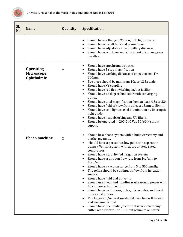

<span id="page-57-1"></span><span id="page-57-0"></span>

| SI.<br>No. | <b>Name</b>                                  | Quantity         | <b>Specification</b>                                                                                                                                                                                                                                                                                                                                                                                                                                                                                                                                                                                                                                                                                                                                                                                                                                                                                                                                               |
|------------|----------------------------------------------|------------------|--------------------------------------------------------------------------------------------------------------------------------------------------------------------------------------------------------------------------------------------------------------------------------------------------------------------------------------------------------------------------------------------------------------------------------------------------------------------------------------------------------------------------------------------------------------------------------------------------------------------------------------------------------------------------------------------------------------------------------------------------------------------------------------------------------------------------------------------------------------------------------------------------------------------------------------------------------------------|
|            |                                              |                  | Should have a Halogen/Xenon/LED light source.<br>٠<br>Should have cobalt blue and green filters.<br>$\bullet$<br>Should have adjustable interpupillary distance.<br>$\bullet$<br>Should have synchronized adjustment of convergence<br>parallax.                                                                                                                                                                                                                                                                                                                                                                                                                                                                                                                                                                                                                                                                                                                   |
|            | <b>Operating</b><br>Microscope<br>Ophthalmic | $\boldsymbol{4}$ | Should have apochromatic optics<br>$\bullet$<br>Should have 5 step magnification<br>$\bullet$<br>Should have working distance of objective lens F =<br>$\bullet$<br>200mm<br>Eye piece should be minimum 10x or 12.5x wide<br>$\bullet$<br>Should have XY coupling<br>$\bullet$<br>Should have red flex switching in/out facility<br>$\bullet$<br>Should have 45 degree binocular with converging<br>$\bullet$<br>optics.<br>Should have total magnification from at least 4.5x to 22x<br>$\bullet$<br>Should have field of view from at least 15mm to 50mm<br>$\bullet$<br>Should have cold light coaxial illumination by fiber optic<br>$\bullet$<br>light guide<br>Should have heat absorbing and UV filters.<br>$\bullet$<br>Should be operated in 200-240 Vac 50/60 Hz input<br>$\bullet$<br>supply.                                                                                                                                                          |
|            | <b>Phaco machine</b>                         | $\mathbf{2}$     | Should be a phaco system within built vitrectomy and<br>٠<br>diathermy units.<br>Should have a peristaltic, low pulsation aspiration<br>$\bullet$<br>pump / Venturi system with appropriately rated<br>compressor.<br>Should have a gravity fed irrigation system.<br>Should have aspiration flow rate from 1cc/min to<br>$\bullet$<br>$40cc/min$ .<br>Should have a vacuum range from 5 to 500 mmHg.<br>٠<br>The reflux should be continuous flow from irrigation<br>$\bullet$<br>source.<br>Should have fluid and air vents.<br>$\bullet$<br>Should use linear and non-linear ultrasound power with<br>$\bullet$<br>40Khz power band width.<br>Should have continuous, pulse, micro pulse, and burst<br>$\bullet$<br>ultrasound modes.<br>The Irrigation/Aspiration should have linear flow rate<br>$\bullet$<br>and vacuum control.<br>Should have pneumatic / electric driven victrectomy<br>$\bullet$<br>cutter with cutrate 1 to 1000 cuts/minute or better. |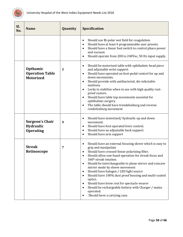

<span id="page-58-2"></span><span id="page-58-1"></span><span id="page-58-0"></span>

| SI.<br>No. | <b>Name</b>                                             | Quantity                | <b>Specification</b>                                                                                                                                                                                                                                                                                                                                                                                                                                                                                                                                                                                                                                                               |
|------------|---------------------------------------------------------|-------------------------|------------------------------------------------------------------------------------------------------------------------------------------------------------------------------------------------------------------------------------------------------------------------------------------------------------------------------------------------------------------------------------------------------------------------------------------------------------------------------------------------------------------------------------------------------------------------------------------------------------------------------------------------------------------------------------|
|            |                                                         |                         | Should use Bi-polar wet field for coagulation.<br>$\bullet$<br>Should have at least 4 programmable user presets.<br>$\bullet$<br>Should have a linear foot switch to control phaco power<br>$\bullet$<br>and vacuum<br>Should operate from 200 to 240Vac, 50 Hz input supply.<br>$\bullet$                                                                                                                                                                                                                                                                                                                                                                                         |
|            | Opthamic<br><b>Operation Table</b><br><b>Motorized</b>  | $\overline{2}$          | Should be motorised table with ophthalmic head piece<br>$\bullet$<br>and adjustable wrist support.<br>Should have operated on foot-pedal control for up and<br>$\bullet$<br>down movements.<br>Should provide with antibacterial, dis-infectable<br>$\bullet$<br>mattress.<br>Locks to stabilize when in use with high quality rust-<br>$\bullet$<br>proof castors.<br>Should have table top movements essential for<br>$\bullet$<br>ophthalmic surgery.<br>The table should have trendelenburg and reverse<br>$\bullet$<br>rendelenburg movement                                                                                                                                  |
|            | <b>Surgeon's Chair</b><br>Hydraulic<br><b>Operating</b> | $\overline{\mathbf{4}}$ | Should have motorized/ hydraulic up and down<br>$\bullet$<br>movement.<br>Should have foot operated lever control.<br>$\bullet$<br>Should have an adjustable back support.<br>$\bullet$<br>Should have arm support<br>$\bullet$                                                                                                                                                                                                                                                                                                                                                                                                                                                    |
|            | <b>Streak</b><br>Retinoscope                            | 7                       | Should have an external focusing sleeve which is easy to<br>$\bullet$<br>grip and manipulate<br>Should have crossed-linear polarizing filter.<br>Should allow one-hand operation for streak focus and<br>360 <sup>°</sup> streak rotation.<br>Should be interchangeable to plane mirror and concave<br>$\bullet$<br>mirror mode by sleeve movement<br>Should have halogen / LED light source<br>$\bullet$<br>Should have 100% dust proof housing and multi-coated<br>$\bullet$<br>optics.<br>Should have brow rest for spectacle wearer<br>$\bullet$<br>Should be rechargeable battery with Charger / mains<br>$\bullet$<br>operated.<br>Should have a carrying case.<br>$\bullet$ |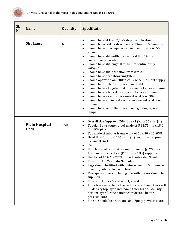

<span id="page-59-1"></span><span id="page-59-0"></span>

| Sl.<br>No. | <b>Name</b>                          | Quantity | <b>Specification</b>                                                                                                                                                                                                                                                                                                                                                                                                                                                                                                                                                                                                                                                                                                                                                                                                                                                                                                                                                                                                                                                                    |
|------------|--------------------------------------|----------|-----------------------------------------------------------------------------------------------------------------------------------------------------------------------------------------------------------------------------------------------------------------------------------------------------------------------------------------------------------------------------------------------------------------------------------------------------------------------------------------------------------------------------------------------------------------------------------------------------------------------------------------------------------------------------------------------------------------------------------------------------------------------------------------------------------------------------------------------------------------------------------------------------------------------------------------------------------------------------------------------------------------------------------------------------------------------------------------|
|            | <b>Slit Lamp</b>                     | 6        | Should have at least 2/3/5 step magnification.<br>$\bullet$<br>Should have real fields of view of 23mm to 5.6mm dia.<br>$\bullet$<br>Should have interpupillary adjustment of atleast 55 to<br>$\bullet$<br>75 mm<br>Should have slit width from at least 0 to 14mm<br>$\bullet$<br>continuously variable.<br>Should have slit length 0 to 14 mm continuously<br>$\bullet$<br>variable.<br>Should have slit inclination from 0 to 20 <sup>o</sup><br>$\bullet$<br>Should have heat absorbing filters<br>$\bullet$<br>Should operate from 200 to 240Vac, 50 Hz input supply.<br>$\bullet$<br>Should be supplied with motorized table.<br>$\bullet$<br>Should have a longitudinal movement of at least 90mm<br>$\bullet$<br>Should have a lateral movement of at least 95mm.<br>$\bullet$<br>Should have a vertical movement of at least 30mm.<br>$\bullet$<br>Should have a chin rest vertical movement of at least<br>$\bullet$<br>55mm.<br>Should have good illumination using Halogen/xenon<br>$\bullet$<br>lamps.                                                                    |
|            | <b>Plain Hospital</b><br><b>Beds</b> | 150      | Overall size (Approx): 206 (L) x 91 (W) x 56 cms. (H).<br>$\bullet$<br>Tubular Bows (outer pipe) made of Ø 31.75mm x 18 G<br>$\bullet$<br>CR ERW pipe<br>Top made of tubular frame work of 50 x 30 x 16 SWG<br>$\bullet$<br>Head Bow (approx) 1060 mm (H). Foot Bow (approx.)<br>$\bullet$<br>82mm (H) in 18<br>SWG.<br>$\bullet$<br>Both bows will consist of one Horizontal (Ø 25mm x<br>18G) and three vertical ( $\emptyset$ 15mm x 18G) supports.<br>Bed top of 16 G MS CRCA ribbed perforated Sheet.<br>$\bullet$<br>Provision for Mosquito Net Poles.<br>٠<br>Legs should be fitted with castor wheels of 5" diameter<br>$\bullet$<br>of nylon/rubber, two with brakes.<br>Two spare wheels including one with brakes should be<br>$\bullet$<br>supplied.<br>Provision for I/V Stand with I/V Rod.<br>$\bullet$<br>A mattress suitable for the bed made of 25mm thick soft<br>$\bullet$<br>32 density top layer and 75mm thick high 40 density<br>bottom layer for the patient comfort and better<br>pressure care.<br>Finish: Should be pretreated and Epoxy powder coated<br>٠ |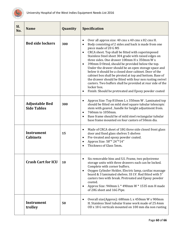

<span id="page-60-4"></span><span id="page-60-3"></span><span id="page-60-2"></span><span id="page-60-1"></span><span id="page-60-0"></span>

| SI.<br>No. | <b>Name</b>                                 | Quantity | <b>Specification</b>                                                                                                                                                                                                                                                                                                                                                                                                                                                                                                                                                                                                                                                                                                                                                                              |
|------------|---------------------------------------------|----------|---------------------------------------------------------------------------------------------------------------------------------------------------------------------------------------------------------------------------------------------------------------------------------------------------------------------------------------------------------------------------------------------------------------------------------------------------------------------------------------------------------------------------------------------------------------------------------------------------------------------------------------------------------------------------------------------------------------------------------------------------------------------------------------------------|
|            | <b>Bed side lockers</b>                     | 300      | Over all approx size: 40 cms x 40 cms x 82 cms H.<br>$\bullet$<br>Body consisting of 2 sides and back is made from one<br>$\bullet$<br>piece made of 20 G MS<br>CRCA sheet. Top shall be fitted with superimposed<br>$\bullet$<br>Stainless Steel sheet 304 grade with raised edges on<br>three sides. One drawer 100mm H x 350mm W x<br>390mm D fitted, should be provided below the top.<br>$\bullet$<br>Under the drawer should be an open storage space and<br>below it should be a closed door cabinet. Door of the<br>cabinet box shall be pivoted at top and bottom. Base of<br>the drawer should be fitted with four non rusting swivel<br>castors. Two buffers shall be provided at rear side of the<br>locker box.<br>Finish: Should be pretreated and Epoxy powder coated<br>$\bullet$ |
|            | <b>Adjustable Bed</b><br><b>Side Tables</b> | 300      | Approx Size: Top 810mm L x 350mm W. Laminated top<br>$\bullet$<br>should be fitted on mild steel square tubular telescopic<br>stem with geared, handle for height adjustment from.<br>760mm to 1050mm.<br>$\bullet$<br>Base frame should be of mild steel rectangular tubular<br>$\bullet$<br>base frame mounted on four castors of 50mm dia.                                                                                                                                                                                                                                                                                                                                                                                                                                                     |
|            | <b>Instrument</b><br><b>Cabinets</b>        | 15       | Made of CRCA sheet of 18G three side closed front glass<br>$\bullet$<br>door and fixed glass shelves 5 shelves<br>Pre-treated and epoxy powder coated.<br>$\bullet$<br>Approx Size: 58"* 24"*14"<br>$\bullet$<br>Thickness of Glass 5mm.                                                                                                                                                                                                                                                                                                                                                                                                                                                                                                                                                          |
|            | <b>Crash Cart for ICU</b>                   | 10       | Six removable bins and S.S. Frame, two polystreme<br>storage units with three drawers each can be locked.<br>Complete with corner buffers.<br>Oxygen Cylinder Holder, Electric lamp, cardiac massage<br>$\bullet$<br>board & 3 laminated shelves. SS I.V. Rod fitted with 5"<br>castors two with break. Pretreated and Epoxy powder<br>coated.<br>Approx Size: 940mm L * 490mm W * 1535 mm H made<br>$\bullet$<br>of 20G sheet and 16G Pipe.                                                                                                                                                                                                                                                                                                                                                      |
|            | <b>Instrument</b><br>trolley                | 50       | Overall size(Approx): 680mm L x 450mm W x 900mm<br>$\bullet$<br>H. Stainless Steel tubular frame work made of 25.4mm<br>OD x 18 G verticals mounted on 100 mm dia non rusting                                                                                                                                                                                                                                                                                                                                                                                                                                                                                                                                                                                                                     |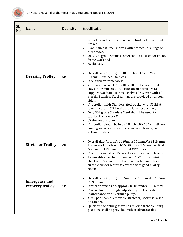

<span id="page-61-2"></span><span id="page-61-1"></span><span id="page-61-0"></span>

| SI.<br>No. | <b>Name</b>                              | Quantity | <b>Specification</b>                                                                                                                                                                                                                                                                                                                                                                                                                                                                                                                                                                                                                                                                                                                                                          |
|------------|------------------------------------------|----------|-------------------------------------------------------------------------------------------------------------------------------------------------------------------------------------------------------------------------------------------------------------------------------------------------------------------------------------------------------------------------------------------------------------------------------------------------------------------------------------------------------------------------------------------------------------------------------------------------------------------------------------------------------------------------------------------------------------------------------------------------------------------------------|
|            |                                          |          | swiveling castor wheels two with brakes, two without<br>brakes.<br>Two Stainless Steel shelves with protective railings on<br>$\bullet$<br>three sides.<br>Only 304 grade Stainless Steel should be used for trolley<br>$\bullet$<br>frame work and<br>SS shelves.<br>$\bullet$                                                                                                                                                                                                                                                                                                                                                                                                                                                                                               |
|            | <b>Dressing Trolley</b>                  | 50       | Overall Size(Approx): 1010 mm L x 510 mm W x<br>$\bullet$<br>900mm H welded Stainless<br>Steel tubular frame work.<br>$\bullet$<br>Verticals of also 31.7mm OD x 18 G tube horizontal<br>$\bullet$<br>stays of 19 mm OD x 18 G tube on all four sides to<br>support two Stainless Steel shelves 22 G over with 10<br>mm dia Stainless Steel railings are provided on all four<br>sides.<br>The trolley holds Stainless Steel bucket with SS lid at<br>٠<br>lower level and S.S. bowl at top level respectively.<br>Only 304 grade Stainless Steel should be used for<br>$\bullet$<br>tubular frame work &<br>SS shelves of trolley.<br>٠<br>The trolley should be in buff finish with 100 mm dia non<br>rusting swivel castors wheels two with brakes, two<br>without brakes. |
|            | <b>Stretcher Trolley</b>                 | 20       | Overall Size(Approx): 2030mmx 560mmW x 810H mm.<br>$\bullet$<br>Frame work made of 31-75 0D mm x 1.60 mm vertical<br>& 25 mm x 1.22 mm horizontal CRC tubes<br>Trolley mounted on 15 cms dia castors -2 with brakes<br>٠<br>Removable stretcher top made of 1.22 mm aluminium<br>sheet with S.S. handle at both end with 25mm thick<br>suitable rubber Mattress covered with good quality<br>rexine.                                                                                                                                                                                                                                                                                                                                                                          |
|            | <b>Emergency and</b><br>recovery trolley | 40       | Overall Size(Approx): 1905mm L x 710mm W x 660mm<br>$\bullet$<br>To 910 mm H.<br>Stretcher dimension(approx) 1830 mmL x 555 mm W.<br>$\bullet$<br>Two section top. Height adjusted by foot operated<br>$\bullet$<br>maintenance free hydraulic pump.<br>X-ray permeable removable stretcher, Backrest raised<br>$\bullet$<br>on ratchet.<br>Quick trendelenburg as well as reverse trendelenburg<br>$\bullet$<br>positions shall be provided with easily accessible                                                                                                                                                                                                                                                                                                           |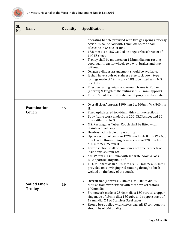

<span id="page-62-1"></span><span id="page-62-0"></span>

| SI.<br>No. | <b>Name</b>                           | Quantity | <b>Specification</b>                                                                                                                                                                                                                                                                                                                                                                                                                                                                                                                                                                                                                                                                                                                                                                                                                                                       |
|------------|---------------------------------------|----------|----------------------------------------------------------------------------------------------------------------------------------------------------------------------------------------------------------------------------------------------------------------------------------------------------------------------------------------------------------------------------------------------------------------------------------------------------------------------------------------------------------------------------------------------------------------------------------------------------------------------------------------------------------------------------------------------------------------------------------------------------------------------------------------------------------------------------------------------------------------------------|
|            |                                       |          | operating handle provided with two gas springs for easy<br>action. SS saline rod with 12mm dia SS rod shall<br>telescope in SS socket tube<br>15.8 mm dia x 18G welded on angular base bracket of<br>$\bullet$<br>14G SS sheet.<br>Trolley shall be mounted on 125mm dia non-rusting<br>$\bullet$<br>good quality castor wheels two with brakes and two<br>without.<br>Oxygen cylinder arrangement should be available.<br>$\bullet$<br>It shall have a pair of Stainless Steeltuck down type<br>$\bullet$<br>railings made of 19mm dia x 18G tube fitted with M.S.<br>brackets.<br>Effective railing height above main frame is. 235 mm<br>$\bullet$<br>(approx) & length of the railing is 1175 mm (approx).<br>Finish: Should be pretreated and Epoxy powder coated<br>$\bullet$                                                                                        |
|            | <b>Examination</b><br>Couch           | 15       | Overall size(Approx): 1890 mm L x 560mm W x 840mm<br>$\bullet$<br>H.<br>Fixed upholstered top 64mm thick in two sections.<br>$\bullet$<br>Body frame work made from 20G. CRCA sheet and 20<br>$\bullet$<br>mm x 40mm x 16 G<br>MS. Rectangular Tubes, Couch shall be fitted with<br>$\bullet$<br>Stainless Steel Legs.<br>Headrest adjustable on gas spring.<br>$\bullet$<br>Upper section of box size 1220 mm L x 460 mm W x 630<br>$\bullet$<br>mm H with three sliding drawers of size 320 mm L x<br>430 mm W x 75 mm H.<br>Lower section shall be comprises of three cabinets of<br>$\bullet$<br>inside size 350mm L x<br>440 W mm x 430 H mm with separate doors & lock.<br>B.P. apparatus tray made of<br>18 G MS sheet of size 350 mm L x 120 mm W X 20 mm H<br>$\bullet$<br>provided on a swinging rod rotating through a bush<br>welded on the body of the couch. |
|            | <b>Soiled Linen</b><br><b>Trolley</b> | 30       | Overall size (approx.): 910mm H x 510mm dia. SS<br>$\bullet$<br>tubular framework fitted with three swivel castors,<br>100mm dia.<br>Framework made of 25.4mm dia x 18G verticals, upper<br>$\bullet$<br>ring made of 19mm diax 18G tube and support stays of<br>19 mm dia. X 18G Stainless Steel tubes.<br>Should be supplied with canvas bag. All SS components<br>$\bullet$<br>should be of 304 quality.                                                                                                                                                                                                                                                                                                                                                                                                                                                                |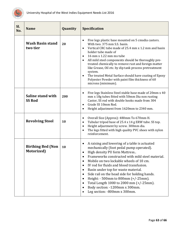

<span id="page-63-3"></span><span id="page-63-2"></span><span id="page-63-1"></span><span id="page-63-0"></span>

| Sl.<br>No. | <b>Name</b>                            | Quantity | Specification                                                                                                                                                                                                                                                                                                                                                                                                                                                                                                                                                                                                                                                         |
|------------|----------------------------------------|----------|-----------------------------------------------------------------------------------------------------------------------------------------------------------------------------------------------------------------------------------------------------------------------------------------------------------------------------------------------------------------------------------------------------------------------------------------------------------------------------------------------------------------------------------------------------------------------------------------------------------------------------------------------------------------------|
|            | <b>Wash Basin stand</b><br>two tier    | 20       | Five legs plastic base mounted on 5 cmsdia castors.<br>$\bullet$<br>With two. 375 mm S.S. basin.<br>Vertical CRC tube made of 25.4 mm x 1.2 mm and basin<br>$\bullet$<br>holder tube made of<br>16 mm x 1.22 mm ms tube<br>$\bullet$<br>All mild steel components should be thoroughly pre-<br>$\bullet$<br>treated chemically to remove rust and foreign matter<br>like Grease, Oil etc. by dip tank process pretreatment<br>system.<br>The treated Metal Surface should have coating of Epoxy<br>$\bullet$<br>Polyester Powder with paint film thickness of 60<br>microns (minimum).                                                                                |
|            | Saline stand with<br><b>SS Rod</b>     | 200      | Five legs Stainless Steel stable base made of 20mm x 40<br>$\bullet$<br>mm x 18g tubes fitted with 50mm Dia non rusting<br>Castor, SS rod with double hooks made from 304<br>Grade SS 10mm Rod.<br>$\bullet$<br>Height adjustment from 1620mm to 2340 mm.<br>$\bullet$                                                                                                                                                                                                                                                                                                                                                                                                |
|            | <b>Revolving Stool</b>                 | 10       | Overall Size (Approx): 480mm To 670mm H.<br>$\bullet$<br>Tubular tripod base of 25.4 x 14 g ERW tube. SS top.<br>$\bullet$<br>Height adjustment by screw. 300mm dia.<br>$\bullet$<br>The legs fitted with high quality PVC shoes with nylon<br>$\bullet$<br>reinforcement.                                                                                                                                                                                                                                                                                                                                                                                            |
|            | <b>Birthing Bed (Non</b><br>Motorized) | 10       | A raising and lowering of a table is actuated<br>$\bullet$<br>mechanically (foot pedal pump operated).<br>High density PU form Mattress<br>$\bullet$<br>Frameworks constructed with mild steel material.<br>$\bullet$<br>Mobile on two lockable wheels of 10 cm.<br>$\bullet$<br>IV rod for fluids and blood transfusion.<br>$\bullet$<br>Basin under top for waste material.<br>$\bullet$<br>Side rail on the head side for holding hands.<br>$\bullet$<br>Height: $-500$ mm to 800mm $(+/-25$ mm).<br>$\bullet$<br>Total Length 1000 to 2000 mm (+/-25mm).<br>$\bullet$<br>Body section: -1200mm x 300mm.<br>$\bullet$<br>Leg section: -800mm x 300mm.<br>$\bullet$ |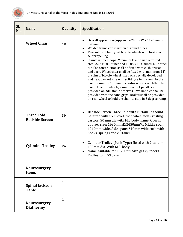

<span id="page-64-5"></span><span id="page-64-4"></span><span id="page-64-3"></span><span id="page-64-2"></span><span id="page-64-1"></span><span id="page-64-0"></span>

| Sl.<br>No. | <b>Name</b>                                | Quantity     | <b>Specification</b>                                                                                                                                                                                                                                                                                                                                                                                                                                                                                                                                                                                                                                                                                                                                                                                                                                                                               |
|------------|--------------------------------------------|--------------|----------------------------------------------------------------------------------------------------------------------------------------------------------------------------------------------------------------------------------------------------------------------------------------------------------------------------------------------------------------------------------------------------------------------------------------------------------------------------------------------------------------------------------------------------------------------------------------------------------------------------------------------------------------------------------------------------------------------------------------------------------------------------------------------------------------------------------------------------------------------------------------------------|
|            | <b>Wheel Chair</b>                         | 40           | Overall approx size(Approx): 670mm W x 1120mm D x<br>$\bullet$<br>920mm H.<br>Welded frame construction of round tubes.<br>$\bullet$<br>Two solid rubber tyred bicycle wheels with brakes &<br>$\bullet$<br>self propelling<br>Stainless Steelhoops. Minimum Frame size of round<br>$\bullet$<br>steel 22.2 x 18 G tubes and 19.05 x 18 G tubes. Mild steel<br>tubular construction shall be fitted with cushionseat<br>and back. Wheel chair shall be fitted with minimum 24"<br>dia rim of bicycle wheel fitted on specially developed<br>and heat treated axle with solid tyre in the rear. In the<br>front minimum 150mm dia castor wheels are fitted. In<br>front of castor wheels, aluminum foot paddles are<br>provided on adjustable brackets. Two handles shall be<br>provided with the hand grips. Brakes shall be provided<br>on rear wheel to hold the chair to stop in 5 degree ramp. |
|            | <b>Three Fold</b><br><b>Bedside Screen</b> | 30           | Bedside Screen Three Fold with curtain. It should<br>$\bullet$<br>be fitted with six swivel, twin wheel non - rusting<br>castors, 50 mm dia with M.S body frame. Overall<br>approx. size: 1680mmHX2450mmW. Middle span<br>1210mm wide. Side spans 610mm wide each with<br>hooks, springs and curtains.                                                                                                                                                                                                                                                                                                                                                                                                                                                                                                                                                                                             |
|            | <b>Cylinder Trolley</b>                    | 24           | Cylinder Trolley (Push Type) fitted with 2 castors,<br>$\bullet$<br>100mm dia. With M.S. body<br>frame. Suitable for 1320 ltrs. Size gas cylinders.<br>$\bullet$<br>Trolley with SS base.                                                                                                                                                                                                                                                                                                                                                                                                                                                                                                                                                                                                                                                                                                          |
|            | <b>Neurosurgery</b><br><b>Items</b>        |              |                                                                                                                                                                                                                                                                                                                                                                                                                                                                                                                                                                                                                                                                                                                                                                                                                                                                                                    |
|            | <b>Spinal Jackson</b><br><b>Table</b>      | 1            |                                                                                                                                                                                                                                                                                                                                                                                                                                                                                                                                                                                                                                                                                                                                                                                                                                                                                                    |
|            | <b>Neurosurgery</b><br><b>Diathermy</b>    | $\mathbf{1}$ |                                                                                                                                                                                                                                                                                                                                                                                                                                                                                                                                                                                                                                                                                                                                                                                                                                                                                                    |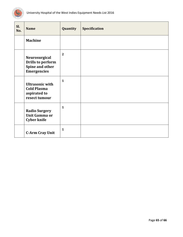

<span id="page-65-3"></span><span id="page-65-2"></span><span id="page-65-1"></span><span id="page-65-0"></span>

| Sl.<br>No. | <b>Name</b>                                                                        | Quantity     | Specification |
|------------|------------------------------------------------------------------------------------|--------------|---------------|
|            | <b>Machine</b>                                                                     |              |               |
|            | Neurosurgical<br><b>Drills to perform</b><br>Spine and other<br><b>Emergencies</b> | $\mathbf{2}$ |               |
|            | <b>Ultrasonic with</b><br><b>Cold Plasma</b><br>aspirated to<br>resect tumour      | $\mathbf{1}$ |               |
|            | <b>Radio Surgery</b><br><b>Unit Gamma or</b><br><b>Cyber knife</b>                 | $\mathbf 1$  |               |
|            | <b>C-Arm Cray Unit</b>                                                             | $\mathbf{1}$ |               |